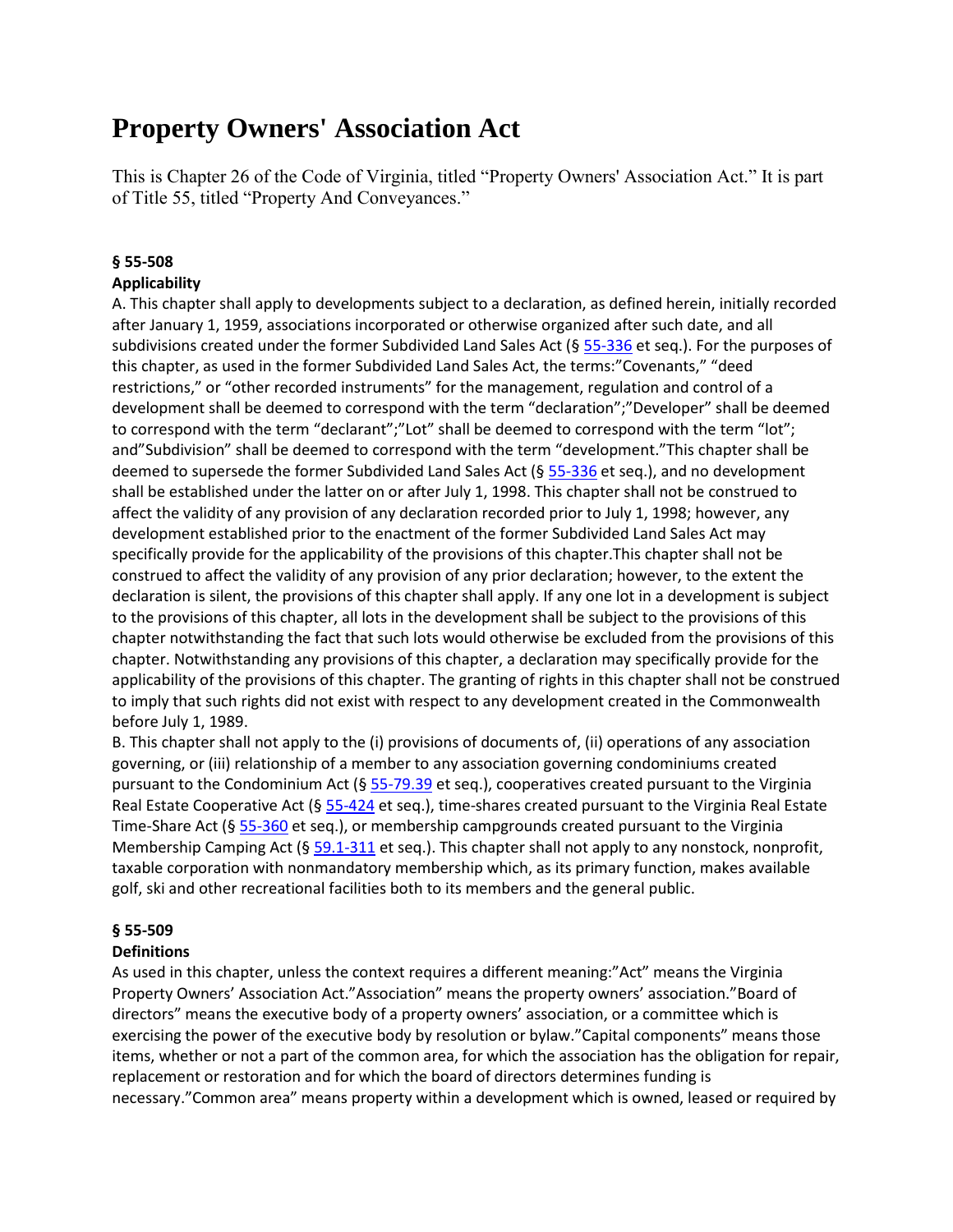# **Property Owners' Association Act**

This is Chapter 26 of the Code of Virginia, titled "Property Owners' Association Act." It is part of Title 55, titled "Property And Conveyances."

# **§ 55-508 Applicability**

A. This chapter shall apply to developments subject to a declaration, as defined herein, initially recorded after January 1, 1959, associations incorporated or otherwise organized after such date, and all subdivisions created under the former Subdivided Land Sales Act ( $\S$  [55-336](https://vacode.org/55-336/) et seq.). For the purposes of this chapter, as used in the former Subdivided Land Sales Act, the terms:"Covenants," "deed restrictions," or "other recorded instruments" for the management, regulation and control of a development shall be deemed to correspond with the term "declaration";"Developer" shall be deemed to correspond with the term "declarant";"Lot" shall be deemed to correspond with the term "lot"; and"Subdivision" shall be deemed to correspond with the term "development."This chapter shall be deemed to supersede the former Subdivided Land Sales Act (§ [55-336](https://vacode.org/55-336/) et seq.), and no development shall be established under the latter on or after July 1, 1998. This chapter shall not be construed to affect the validity of any provision of any declaration recorded prior to July 1, 1998; however, any development established prior to the enactment of the former Subdivided Land Sales Act may specifically provide for the applicability of the provisions of this chapter.This chapter shall not be construed to affect the validity of any provision of any prior declaration; however, to the extent the declaration is silent, the provisions of this chapter shall apply. If any one lot in a development is subject to the provisions of this chapter, all lots in the development shall be subject to the provisions of this chapter notwithstanding the fact that such lots would otherwise be excluded from the provisions of this chapter. Notwithstanding any provisions of this chapter, a declaration may specifically provide for the applicability of the provisions of this chapter. The granting of rights in this chapter shall not be construed to imply that such rights did not exist with respect to any development created in the Commonwealth before July 1, 1989.

B. This chapter shall not apply to the (i) provisions of documents of, (ii) operations of any association governing, or (iii) relationship of a member to any association governing condominiums created pursuant to the Condominium Act ( $\S$  [55-79.39](https://vacode.org/55-79.39/) et seq.), cooperatives created pursuant to the Virginia Real Estate Cooperative Act (§ [55-424](https://vacode.org/55-424/) et seq.), time-shares created pursuant to the Virginia Real Estate Time-Share Act ( $\S$  [55-360](https://vacode.org/55-360/) et seq.), or membership campgrounds created pursuant to the Virginia Membership Camping Act (§ [59.1-311](https://vacode.org/59.1-311/) et seq.). This chapter shall not apply to any nonstock, nonprofit, taxable corporation with nonmandatory membership which, as its primary function, makes available golf, ski and other recreational facilities both to its members and the general public.

# **§ 55-509**

# **Definitions**

As used in this chapter, unless the context requires a different meaning:"Act" means the Virginia Property Owners' Association Act."Association" means the property owners' association."Board of directors" means the executive body of a property owners' association, or a committee which is exercising the power of the executive body by resolution or bylaw."Capital components" means those items, whether or not a part of the common area, for which the association has the obligation for repair, replacement or restoration and for which the board of directors determines funding is necessary."Common area" means property within a development which is owned, leased or required by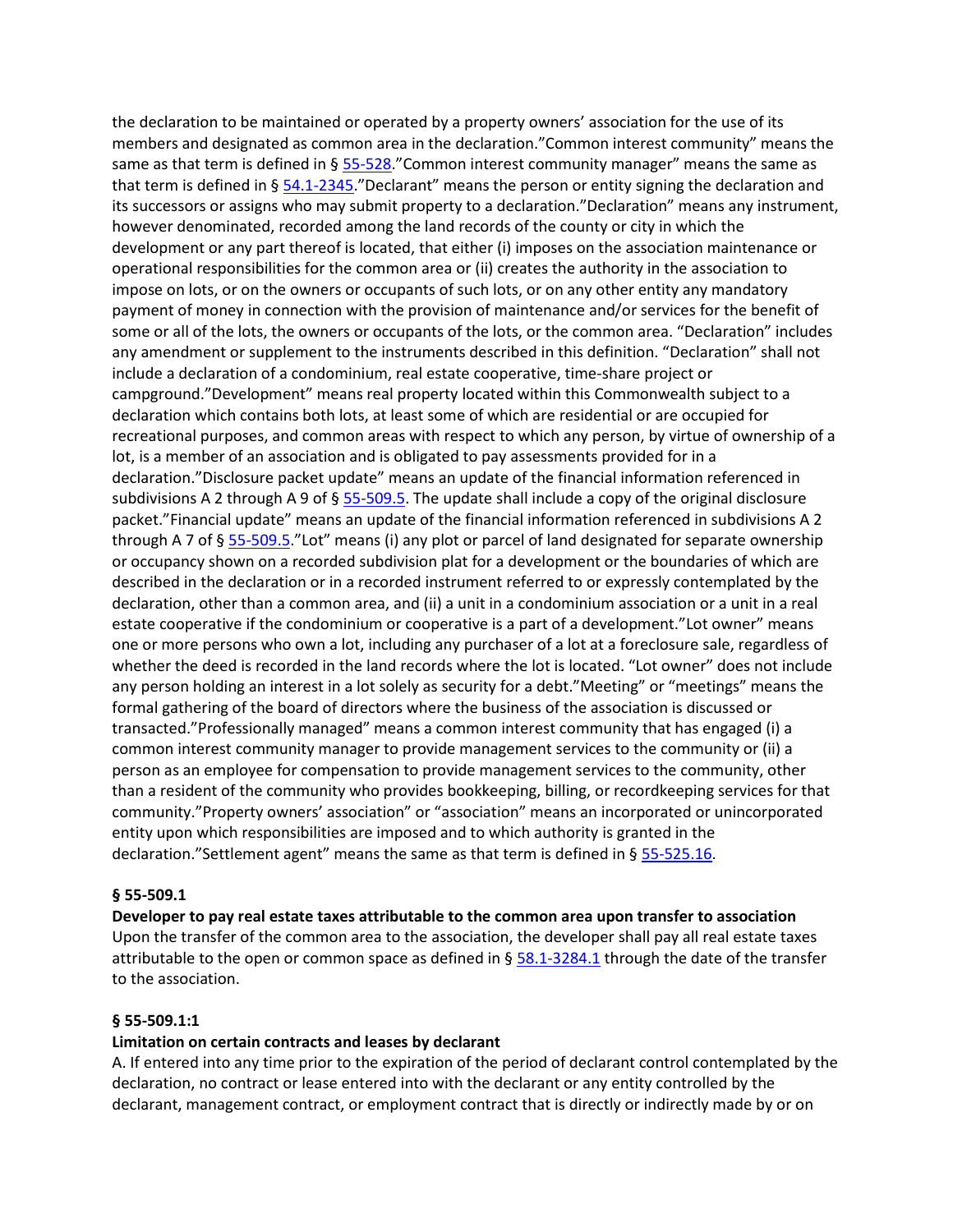the declaration to be maintained or operated by a property owners' association for the use of its members and designated as common area in the declaration."Common interest community" means the same as that term is defined in §  $55-528$ ." Common interest community manager" means the same as that term is defined in §  $\frac{54.1-2345}{2}$  $\frac{54.1-2345}{2}$  $\frac{54.1-2345}{2}$  Declarant" means the person or entity signing the declaration and its successors or assigns who may submit property to a declaration."Declaration" means any instrument, however denominated, recorded among the land records of the county or city in which the development or any part thereof is located, that either (i) imposes on the association maintenance or operational responsibilities for the common area or (ii) creates the authority in the association to impose on lots, or on the owners or occupants of such lots, or on any other entity any mandatory payment of money in connection with the provision of maintenance and/or services for the benefit of some or all of the lots, the owners or occupants of the lots, or the common area. "Declaration" includes any amendment or supplement to the instruments described in this definition. "Declaration" shall not include a declaration of a condominium, real estate cooperative, time-share project or campground."Development" means real property located within this Commonwealth subject to a declaration which contains both lots, at least some of which are residential or are occupied for recreational purposes, and common areas with respect to which any person, by virtue of ownership of a lot, is a member of an association and is obligated to pay assessments provided for in a declaration."Disclosure packet update" means an update of the financial information referenced in subdivisions A 2 through A 9 of §  $55-509.5$ . The update shall include a copy of the original disclosure packet."Financial update" means an update of the financial information referenced in subdivisions A 2 through A 7 of § [55-509.5](https://vacode.org/55-509.5/)."Lot" means (i) any plot or parcel of land designated for separate ownership or occupancy shown on a recorded subdivision plat for a development or the boundaries of which are described in the declaration or in a recorded instrument referred to or expressly contemplated by the declaration, other than a common area, and (ii) a unit in a condominium association or a unit in a real estate cooperative if the condominium or cooperative is a part of a development."Lot owner" means one or more persons who own a lot, including any purchaser of a lot at a foreclosure sale, regardless of whether the deed is recorded in the land records where the lot is located. "Lot owner" does not include any person holding an interest in a lot solely as security for a debt."Meeting" or "meetings" means the formal gathering of the board of directors where the business of the association is discussed or transacted."Professionally managed" means a common interest community that has engaged (i) a common interest community manager to provide management services to the community or (ii) a person as an employee for compensation to provide management services to the community, other than a resident of the community who provides bookkeeping, billing, or recordkeeping services for that community."Property owners' association" or "association" means an incorporated or unincorporated entity upon which responsibilities are imposed and to which authority is granted in the declaration."Settlement agent" means the same as that term is defined in § [55-525.16.](https://vacode.org/55-525.16/)

### **§ 55-509.1**

**Developer to pay real estate taxes attributable to the common area upon transfer to association** Upon the transfer of the common area to the association, the developer shall pay all real estate taxes attributable to the open or common space as defined in  $\S$  [58.1-3284.1](https://vacode.org/58.1-3284.1/) through the date of the transfer to the association.

### **§ 55-509.1:1**

### **Limitation on certain contracts and leases by declarant**

A. If entered into any time prior to the expiration of the period of declarant control contemplated by the declaration, no contract or lease entered into with the declarant or any entity controlled by the declarant, management contract, or employment contract that is directly or indirectly made by or on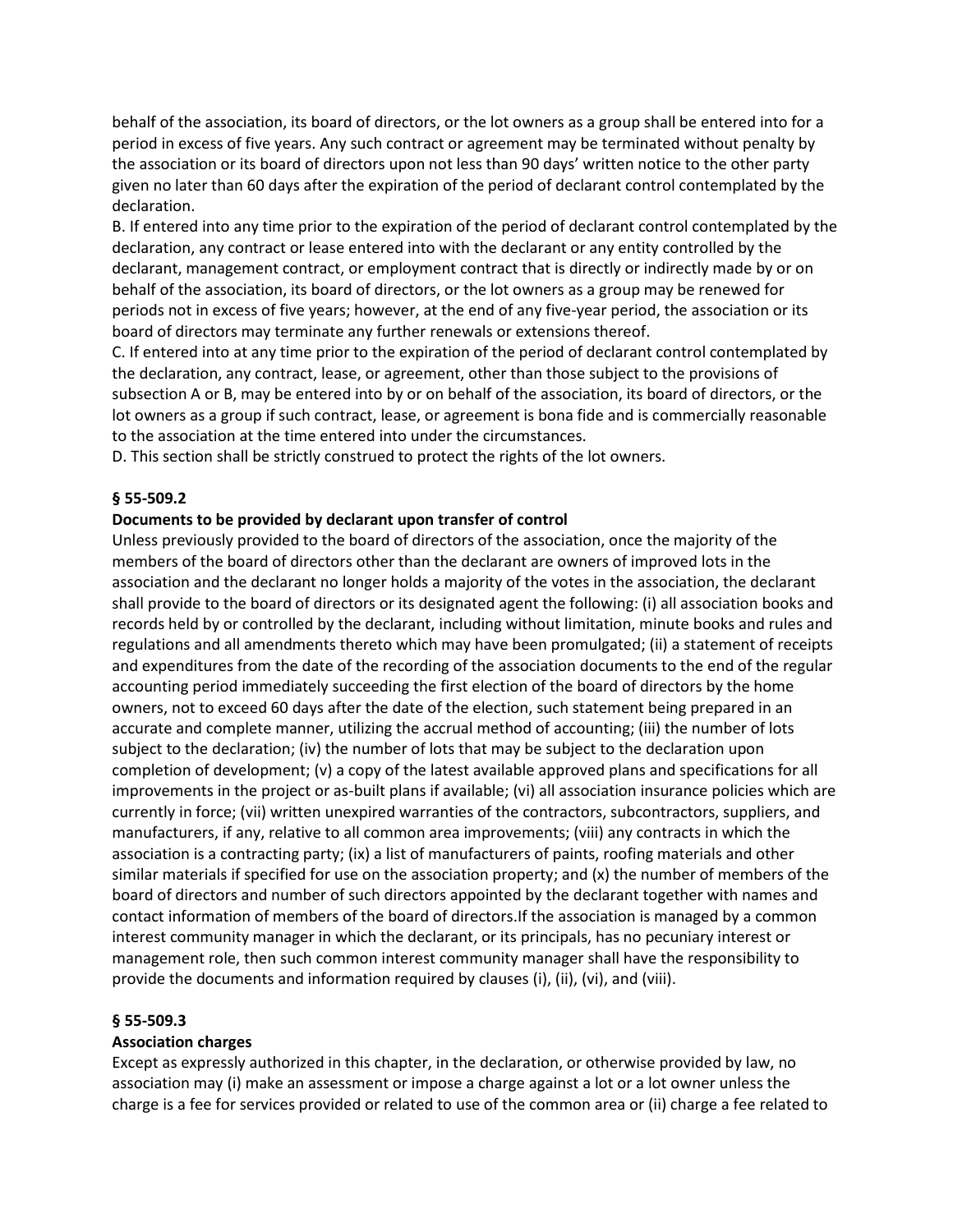behalf of the association, its board of directors, or the lot owners as a group shall be entered into for a period in excess of five years. Any such contract or agreement may be terminated without penalty by the association or its board of directors upon not less than 90 days' written notice to the other party given no later than 60 days after the expiration of the period of declarant control contemplated by the declaration.

B. If entered into any time prior to the expiration of the period of declarant control contemplated by the declaration, any contract or lease entered into with the declarant or any entity controlled by the declarant, management contract, or employment contract that is directly or indirectly made by or on behalf of the association, its board of directors, or the lot owners as a group may be renewed for periods not in excess of five years; however, at the end of any five-year period, the association or its board of directors may terminate any further renewals or extensions thereof.

C. If entered into at any time prior to the expiration of the period of declarant control contemplated by the declaration, any contract, lease, or agreement, other than those subject to the provisions of subsection A or B, may be entered into by or on behalf of the association, its board of directors, or the lot owners as a group if such contract, lease, or agreement is bona fide and is commercially reasonable to the association at the time entered into under the circumstances.

D. This section shall be strictly construed to protect the rights of the lot owners.

#### **§ 55-509.2**

#### **Documents to be provided by declarant upon transfer of control**

Unless previously provided to the board of directors of the association, once the majority of the members of the board of directors other than the declarant are owners of improved lots in the association and the declarant no longer holds a majority of the votes in the association, the declarant shall provide to the board of directors or its designated agent the following: (i) all association books and records held by or controlled by the declarant, including without limitation, minute books and rules and regulations and all amendments thereto which may have been promulgated; (ii) a statement of receipts and expenditures from the date of the recording of the association documents to the end of the regular accounting period immediately succeeding the first election of the board of directors by the home owners, not to exceed 60 days after the date of the election, such statement being prepared in an accurate and complete manner, utilizing the accrual method of accounting; (iii) the number of lots subject to the declaration; (iv) the number of lots that may be subject to the declaration upon completion of development; (v) a copy of the latest available approved plans and specifications for all improvements in the project or as-built plans if available; (vi) all association insurance policies which are currently in force; (vii) written unexpired warranties of the contractors, subcontractors, suppliers, and manufacturers, if any, relative to all common area improvements; (viii) any contracts in which the association is a contracting party; (ix) a list of manufacturers of paints, roofing materials and other similar materials if specified for use on the association property; and (x) the number of members of the board of directors and number of such directors appointed by the declarant together with names and contact information of members of the board of directors.If the association is managed by a common interest community manager in which the declarant, or its principals, has no pecuniary interest or management role, then such common interest community manager shall have the responsibility to provide the documents and information required by clauses (i), (ii), (vi), and (viii).

#### **§ 55-509.3**

#### **Association charges**

Except as expressly authorized in this chapter, in the declaration, or otherwise provided by law, no association may (i) make an assessment or impose a charge against a lot or a lot owner unless the charge is a fee for services provided or related to use of the common area or (ii) charge a fee related to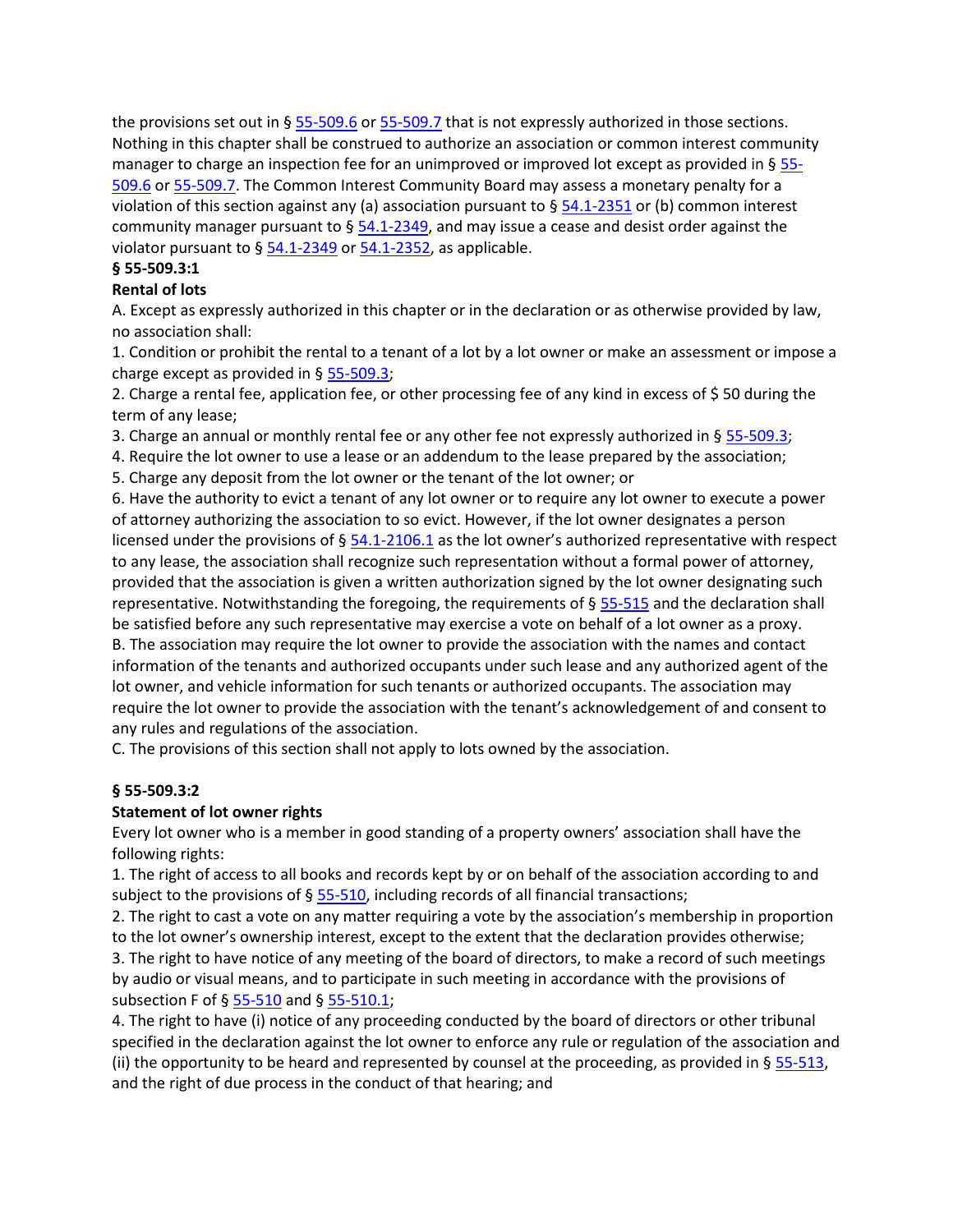the provisions set out in § [55-509.6](https://vacode.org/55-509.6/) or [55-509.7](https://vacode.org/55-509.7/) that is not expressly authorized in those sections. Nothing in this chapter shall be construed to authorize an association or common interest community manager to charge an inspection fee for an unimproved or improved lot except as provided in § [55-](https://vacode.org/55-509.6/) [509.6](https://vacode.org/55-509.6/) o[r 55-509.7.](https://vacode.org/55-509.7/) The Common Interest Community Board may assess a monetary penalty for a violation of this section against any (a) association pursuant to  $\S$  [54.1-2351](https://vacode.org/54.1-2351/) or (b) common interest community manager pursuant to  $\S$  [54.1-2349,](https://vacode.org/54.1-2349/) and may issue a cease and desist order against the violator pursuant to  $\S$  [54.1-2349](https://vacode.org/54.1-2349/) o[r 54.1-2352,](https://vacode.org/54.1-2352/) as applicable.

# **§ 55-509.3:1**

# **Rental of lots**

A. Except as expressly authorized in this chapter or in the declaration or as otherwise provided by law, no association shall:

1. Condition or prohibit the rental to a tenant of a lot by a lot owner or make an assessment or impose a charge except as provided in  $\S$  [55-509.3;](https://vacode.org/55-509.3/)

2. Charge a rental fee, application fee, or other processing fee of any kind in excess of \$ 50 during the term of any lease;

3. Charge an annual or monthly rental fee or any other fee not expressly authorized in § [55-509.3;](https://vacode.org/55-509.3/)

4. Require the lot owner to use a lease or an addendum to the lease prepared by the association;

5. Charge any deposit from the lot owner or the tenant of the lot owner; or

6. Have the authority to evict a tenant of any lot owner or to require any lot owner to execute a power of attorney authorizing the association to so evict. However, if the lot owner designates a person licensed under the provisions of § [54.1-2106.1](https://vacode.org/54.1-2106.1/) as the lot owner's authorized representative with respect to any lease, the association shall recognize such representation without a formal power of attorney, provided that the association is given a written authorization signed by the lot owner designating such representative. Notwithstanding the foregoing, the requirements of  $\S 55-515$  $\S 55-515$  and the declaration shall be satisfied before any such representative may exercise a vote on behalf of a lot owner as a proxy. B. The association may require the lot owner to provide the association with the names and contact information of the tenants and authorized occupants under such lease and any authorized agent of the lot owner, and vehicle information for such tenants or authorized occupants. The association may require the lot owner to provide the association with the tenant's acknowledgement of and consent to any rules and regulations of the association.

C. The provisions of this section shall not apply to lots owned by the association.

# **§ 55-509.3:2**

# **Statement of lot owner rights**

Every lot owner who is a member in good standing of a property owners' association shall have the following rights:

1. The right of access to all books and records kept by or on behalf of the association according to and subject to the provisions of § [55-510,](https://vacode.org/55-510/) including records of all financial transactions;

2. The right to cast a vote on any matter requiring a vote by the association's membership in proportion to the lot owner's ownership interest, except to the extent that the declaration provides otherwise;

3. The right to have notice of any meeting of the board of directors, to make a record of such meetings by audio or visual means, and to participate in such meeting in accordance with the provisions of subsection F of § [55-510](https://vacode.org/55-510/) and § [55-510.1;](https://vacode.org/55-510.1/)

4. The right to have (i) notice of any proceeding conducted by the board of directors or other tribunal specified in the declaration against the lot owner to enforce any rule or regulation of the association and (ii) the opportunity to be heard and represented by counsel at the proceeding, as provided in  $\S$  [55-513,](https://vacode.org/55-513/) and the right of due process in the conduct of that hearing; and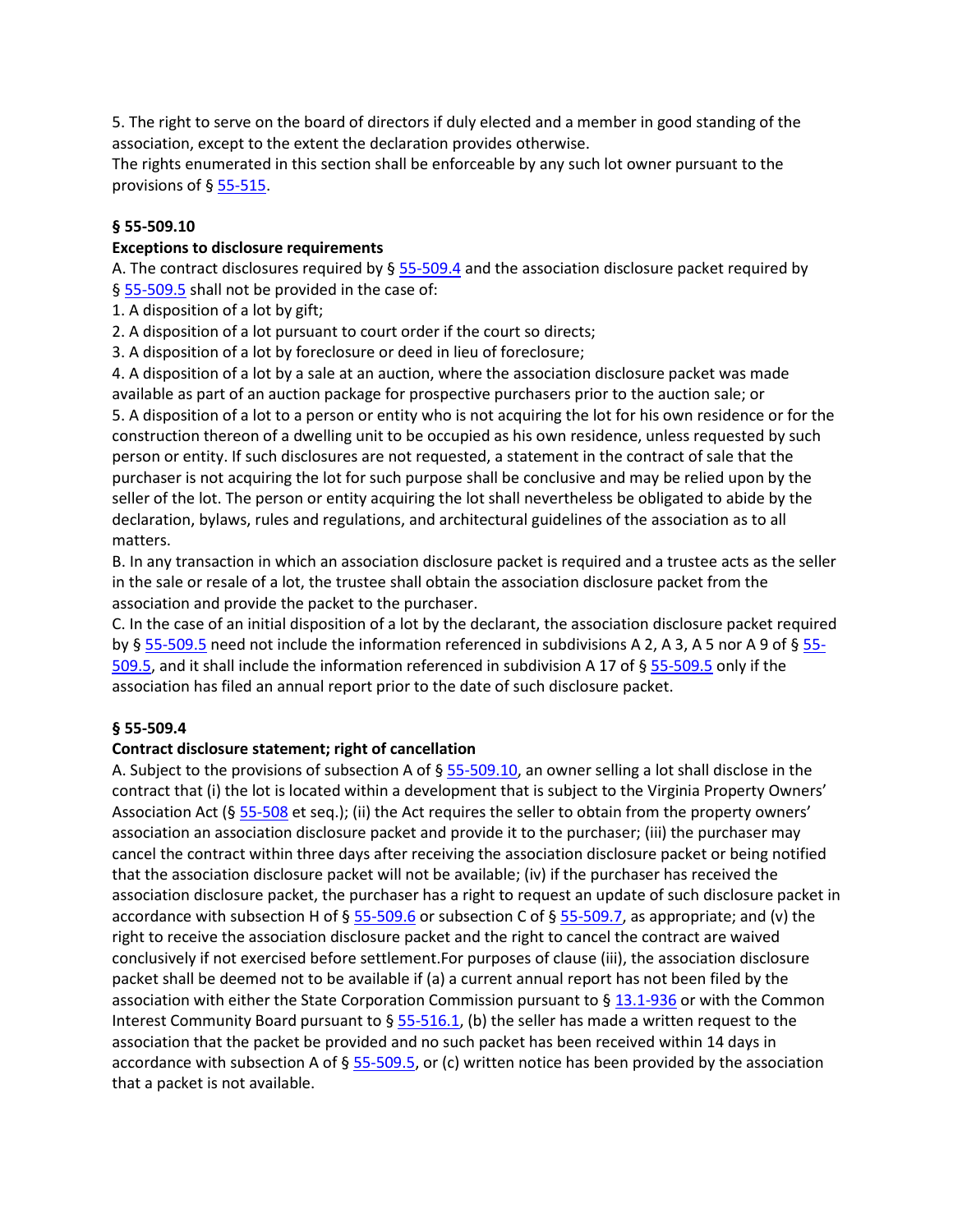5. The right to serve on the board of directors if duly elected and a member in good standing of the association, except to the extent the declaration provides otherwise.

The rights enumerated in this section shall be enforceable by any such lot owner pursuant to the provisions of § [55-515.](https://vacode.org/55-515/)

# **§ 55-509.10**

# **Exceptions to disclosure requirements**

A. The contract disclosures required by  $\S$  [55-509.4](https://vacode.org/55-509.4/) and the association disclosure packet required by § [55-509.5](https://vacode.org/55-509.5/) shall not be provided in the case of:

- 1. A disposition of a lot by gift;
- 2. A disposition of a lot pursuant to court order if the court so directs;
- 3. A disposition of a lot by foreclosure or deed in lieu of foreclosure;

4. A disposition of a lot by a sale at an auction, where the association disclosure packet was made available as part of an auction package for prospective purchasers prior to the auction sale; or 5. A disposition of a lot to a person or entity who is not acquiring the lot for his own residence or for the construction thereon of a dwelling unit to be occupied as his own residence, unless requested by such person or entity. If such disclosures are not requested, a statement in the contract of sale that the purchaser is not acquiring the lot for such purpose shall be conclusive and may be relied upon by the seller of the lot. The person or entity acquiring the lot shall nevertheless be obligated to abide by the declaration, bylaws, rules and regulations, and architectural guidelines of the association as to all matters.

B. In any transaction in which an association disclosure packet is required and a trustee acts as the seller in the sale or resale of a lot, the trustee shall obtain the association disclosure packet from the association and provide the packet to the purchaser.

C. In the case of an initial disposition of a lot by the declarant, the association disclosure packet required by § [55-509.5](https://vacode.org/55-509.5/) need not include the information referenced in subdivisions A 2, A 3, A 5 nor A 9 of § [55-](https://vacode.org/55-509.5/) [509.5,](https://vacode.org/55-509.5/) and it shall include the information referenced in subdivision A 17 of § [55-509.5](https://vacode.org/55-509.5/) only if the association has filed an annual report prior to the date of such disclosure packet.

# **§ 55-509.4**

# **Contract disclosure statement; right of cancellation**

A. Subject to the provisions of subsection A of  $\S$  [55-509.10,](https://vacode.org/55-509.10/) an owner selling a lot shall disclose in the contract that (i) the lot is located within a development that is subject to the Virginia Property Owners' Association Act (§ [55-508](https://vacode.org/55-508/) et seq.); (ii) the Act requires the seller to obtain from the property owners' association an association disclosure packet and provide it to the purchaser; (iii) the purchaser may cancel the contract within three days after receiving the association disclosure packet or being notified that the association disclosure packet will not be available; (iv) if the purchaser has received the association disclosure packet, the purchaser has a right to request an update of such disclosure packet in accordance with subsection H of § [55-509.6](https://vacode.org/55-509.6/) or subsection C of § [55-509.7,](https://vacode.org/55-509.7/) as appropriate; and (v) the right to receive the association disclosure packet and the right to cancel the contract are waived conclusively if not exercised before settlement.For purposes of clause (iii), the association disclosure packet shall be deemed not to be available if (a) a current annual report has not been filed by the association with either the State Corporation Commission pursuant to § [13.1-936](https://vacode.org/13.1-936/) or with the Common Interest Community Board pursuant to  $\S$  [55-516.1,](https://vacode.org/55-516.1/) (b) the seller has made a written request to the association that the packet be provided and no such packet has been received within 14 days in accordance with subsection A of §  $55-509.5$ , or (c) written notice has been provided by the association that a packet is not available.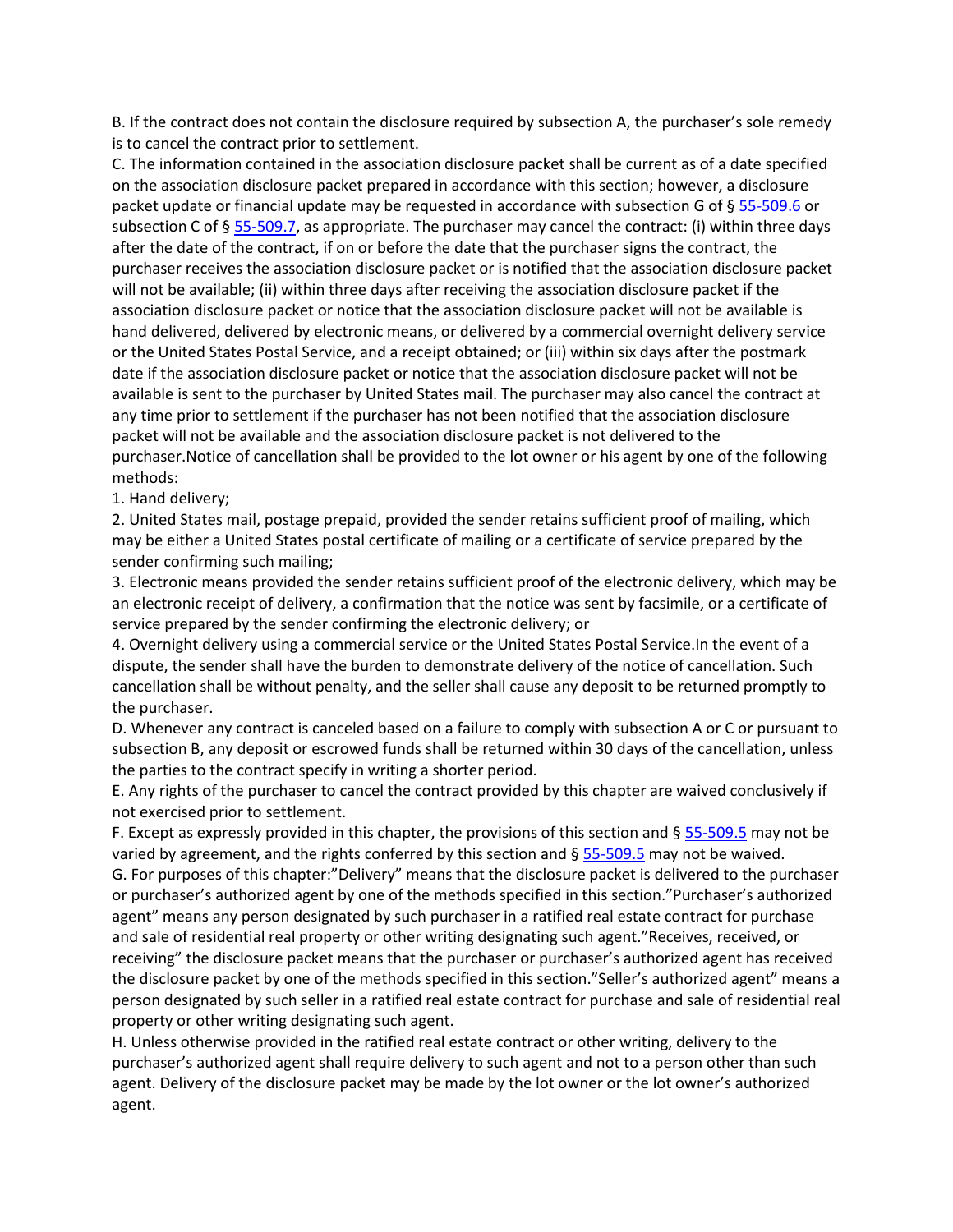B. If the contract does not contain the disclosure required by subsection A, the purchaser's sole remedy is to cancel the contract prior to settlement.

C. The information contained in the association disclosure packet shall be current as of a date specified on the association disclosure packet prepared in accordance with this section; however, a disclosure packet update or financial update may be requested in accordance with subsection G of § [55-509.6](https://vacode.org/55-509.6/) or subsection C of § [55-509.7,](https://vacode.org/55-509.7/) as appropriate. The purchaser may cancel the contract: (i) within three days after the date of the contract, if on or before the date that the purchaser signs the contract, the purchaser receives the association disclosure packet or is notified that the association disclosure packet will not be available; (ii) within three days after receiving the association disclosure packet if the association disclosure packet or notice that the association disclosure packet will not be available is hand delivered, delivered by electronic means, or delivered by a commercial overnight delivery service or the United States Postal Service, and a receipt obtained; or (iii) within six days after the postmark date if the association disclosure packet or notice that the association disclosure packet will not be available is sent to the purchaser by United States mail. The purchaser may also cancel the contract at any time prior to settlement if the purchaser has not been notified that the association disclosure packet will not be available and the association disclosure packet is not delivered to the purchaser.Notice of cancellation shall be provided to the lot owner or his agent by one of the following methods:

# 1. Hand delivery;

2. United States mail, postage prepaid, provided the sender retains sufficient proof of mailing, which may be either a United States postal certificate of mailing or a certificate of service prepared by the sender confirming such mailing;

3. Electronic means provided the sender retains sufficient proof of the electronic delivery, which may be an electronic receipt of delivery, a confirmation that the notice was sent by facsimile, or a certificate of service prepared by the sender confirming the electronic delivery; or

4. Overnight delivery using a commercial service or the United States Postal Service.In the event of a dispute, the sender shall have the burden to demonstrate delivery of the notice of cancellation. Such cancellation shall be without penalty, and the seller shall cause any deposit to be returned promptly to the purchaser.

D. Whenever any contract is canceled based on a failure to comply with subsection A or C or pursuant to subsection B, any deposit or escrowed funds shall be returned within 30 days of the cancellation, unless the parties to the contract specify in writing a shorter period.

E. Any rights of the purchaser to cancel the contract provided by this chapter are waived conclusively if not exercised prior to settlement.

F. Except as expressly provided in this chapter, the provisions of this section and  $\S$  [55-509.5](https://vacode.org/55-509.5/) may not be varied by agreement, and the rights conferred by this section and § [55-509.5](https://vacode.org/55-509.5/) may not be waived.

G. For purposes of this chapter:"Delivery" means that the disclosure packet is delivered to the purchaser or purchaser's authorized agent by one of the methods specified in this section."Purchaser's authorized agent" means any person designated by such purchaser in a ratified real estate contract for purchase and sale of residential real property or other writing designating such agent."Receives, received, or receiving" the disclosure packet means that the purchaser or purchaser's authorized agent has received the disclosure packet by one of the methods specified in this section."Seller's authorized agent" means a person designated by such seller in a ratified real estate contract for purchase and sale of residential real property or other writing designating such agent.

H. Unless otherwise provided in the ratified real estate contract or other writing, delivery to the purchaser's authorized agent shall require delivery to such agent and not to a person other than such agent. Delivery of the disclosure packet may be made by the lot owner or the lot owner's authorized agent.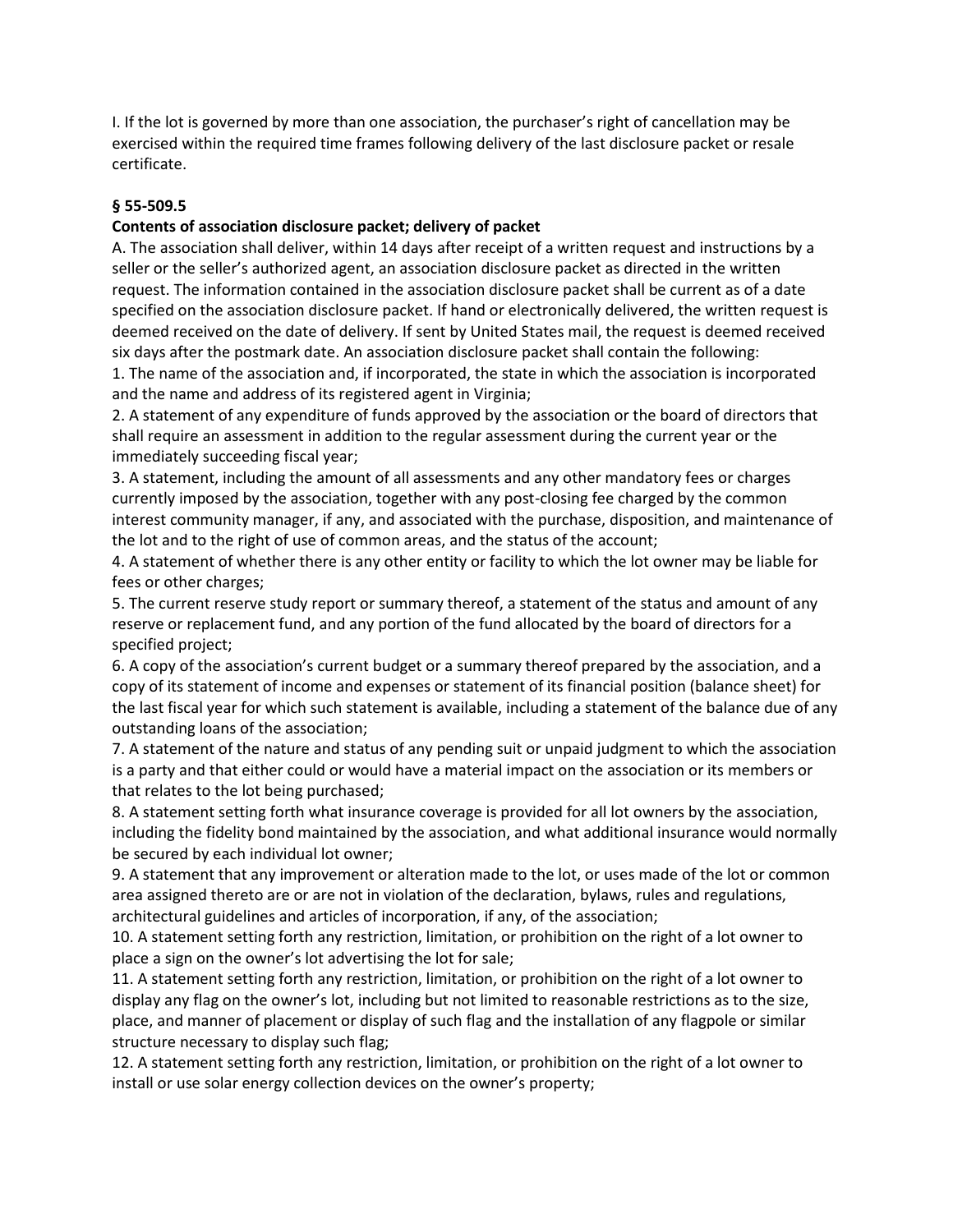I. If the lot is governed by more than one association, the purchaser's right of cancellation may be exercised within the required time frames following delivery of the last disclosure packet or resale certificate.

# **§ 55-509.5**

# **Contents of association disclosure packet; delivery of packet**

A. The association shall deliver, within 14 days after receipt of a written request and instructions by a seller or the seller's authorized agent, an association disclosure packet as directed in the written request. The information contained in the association disclosure packet shall be current as of a date specified on the association disclosure packet. If hand or electronically delivered, the written request is deemed received on the date of delivery. If sent by United States mail, the request is deemed received six days after the postmark date. An association disclosure packet shall contain the following:

1. The name of the association and, if incorporated, the state in which the association is incorporated and the name and address of its registered agent in Virginia;

2. A statement of any expenditure of funds approved by the association or the board of directors that shall require an assessment in addition to the regular assessment during the current year or the immediately succeeding fiscal year;

3. A statement, including the amount of all assessments and any other mandatory fees or charges currently imposed by the association, together with any post-closing fee charged by the common interest community manager, if any, and associated with the purchase, disposition, and maintenance of the lot and to the right of use of common areas, and the status of the account;

4. A statement of whether there is any other entity or facility to which the lot owner may be liable for fees or other charges;

5. The current reserve study report or summary thereof, a statement of the status and amount of any reserve or replacement fund, and any portion of the fund allocated by the board of directors for a specified project;

6. A copy of the association's current budget or a summary thereof prepared by the association, and a copy of its statement of income and expenses or statement of its financial position (balance sheet) for the last fiscal year for which such statement is available, including a statement of the balance due of any outstanding loans of the association;

7. A statement of the nature and status of any pending suit or unpaid judgment to which the association is a party and that either could or would have a material impact on the association or its members or that relates to the lot being purchased;

8. A statement setting forth what insurance coverage is provided for all lot owners by the association, including the fidelity bond maintained by the association, and what additional insurance would normally be secured by each individual lot owner;

9. A statement that any improvement or alteration made to the lot, or uses made of the lot or common area assigned thereto are or are not in violation of the declaration, bylaws, rules and regulations, architectural guidelines and articles of incorporation, if any, of the association;

10. A statement setting forth any restriction, limitation, or prohibition on the right of a lot owner to place a sign on the owner's lot advertising the lot for sale;

11. A statement setting forth any restriction, limitation, or prohibition on the right of a lot owner to display any flag on the owner's lot, including but not limited to reasonable restrictions as to the size, place, and manner of placement or display of such flag and the installation of any flagpole or similar structure necessary to display such flag;

12. A statement setting forth any restriction, limitation, or prohibition on the right of a lot owner to install or use solar energy collection devices on the owner's property;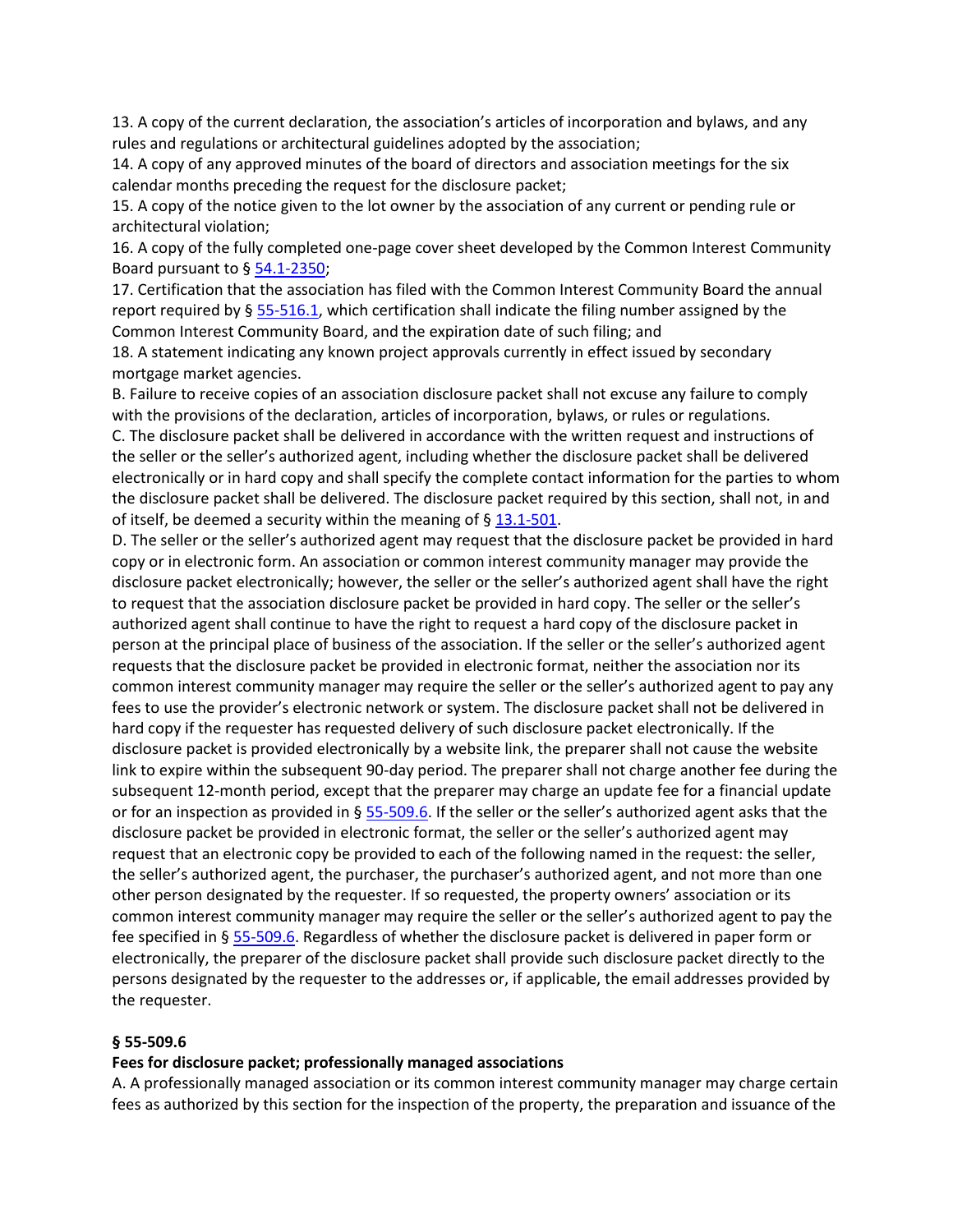13. A copy of the current declaration, the association's articles of incorporation and bylaws, and any rules and regulations or architectural guidelines adopted by the association;

14. A copy of any approved minutes of the board of directors and association meetings for the six calendar months preceding the request for the disclosure packet;

15. A copy of the notice given to the lot owner by the association of any current or pending rule or architectural violation;

16. A copy of the fully completed one-page cover sheet developed by the Common Interest Community Board pursuant to § [54.1-2350;](https://vacode.org/54.1-2350/)

17. Certification that the association has filed with the Common Interest Community Board the annual report required by § [55-516.1,](https://vacode.org/55-516.1/) which certification shall indicate the filing number assigned by the Common Interest Community Board, and the expiration date of such filing; and

18. A statement indicating any known project approvals currently in effect issued by secondary mortgage market agencies.

B. Failure to receive copies of an association disclosure packet shall not excuse any failure to comply with the provisions of the declaration, articles of incorporation, bylaws, or rules or regulations. C. The disclosure packet shall be delivered in accordance with the written request and instructions of

the seller or the seller's authorized agent, including whether the disclosure packet shall be delivered electronically or in hard copy and shall specify the complete contact information for the parties to whom the disclosure packet shall be delivered. The disclosure packet required by this section, shall not, in and of itself, be deemed a security within the meaning of  $\S$  [13.1-501.](https://vacode.org/13.1-501/)

D. The seller or the seller's authorized agent may request that the disclosure packet be provided in hard copy or in electronic form. An association or common interest community manager may provide the disclosure packet electronically; however, the seller or the seller's authorized agent shall have the right to request that the association disclosure packet be provided in hard copy. The seller or the seller's authorized agent shall continue to have the right to request a hard copy of the disclosure packet in person at the principal place of business of the association. If the seller or the seller's authorized agent requests that the disclosure packet be provided in electronic format, neither the association nor its common interest community manager may require the seller or the seller's authorized agent to pay any fees to use the provider's electronic network or system. The disclosure packet shall not be delivered in hard copy if the requester has requested delivery of such disclosure packet electronically. If the disclosure packet is provided electronically by a website link, the preparer shall not cause the website link to expire within the subsequent 90-day period. The preparer shall not charge another fee during the subsequent 12-month period, except that the preparer may charge an update fee for a financial update or for an inspection as provided in § [55-509.6.](https://vacode.org/55-509.6/) If the seller or the seller's authorized agent asks that the disclosure packet be provided in electronic format, the seller or the seller's authorized agent may request that an electronic copy be provided to each of the following named in the request: the seller, the seller's authorized agent, the purchaser, the purchaser's authorized agent, and not more than one other person designated by the requester. If so requested, the property owners' association or its common interest community manager may require the seller or the seller's authorized agent to pay the fee specified in § [55-509.6.](https://vacode.org/55-509.6/) Regardless of whether the disclosure packet is delivered in paper form or electronically, the preparer of the disclosure packet shall provide such disclosure packet directly to the persons designated by the requester to the addresses or, if applicable, the email addresses provided by the requester.

### **§ 55-509.6**

#### **Fees for disclosure packet; professionally managed associations**

A. A professionally managed association or its common interest community manager may charge certain fees as authorized by this section for the inspection of the property, the preparation and issuance of the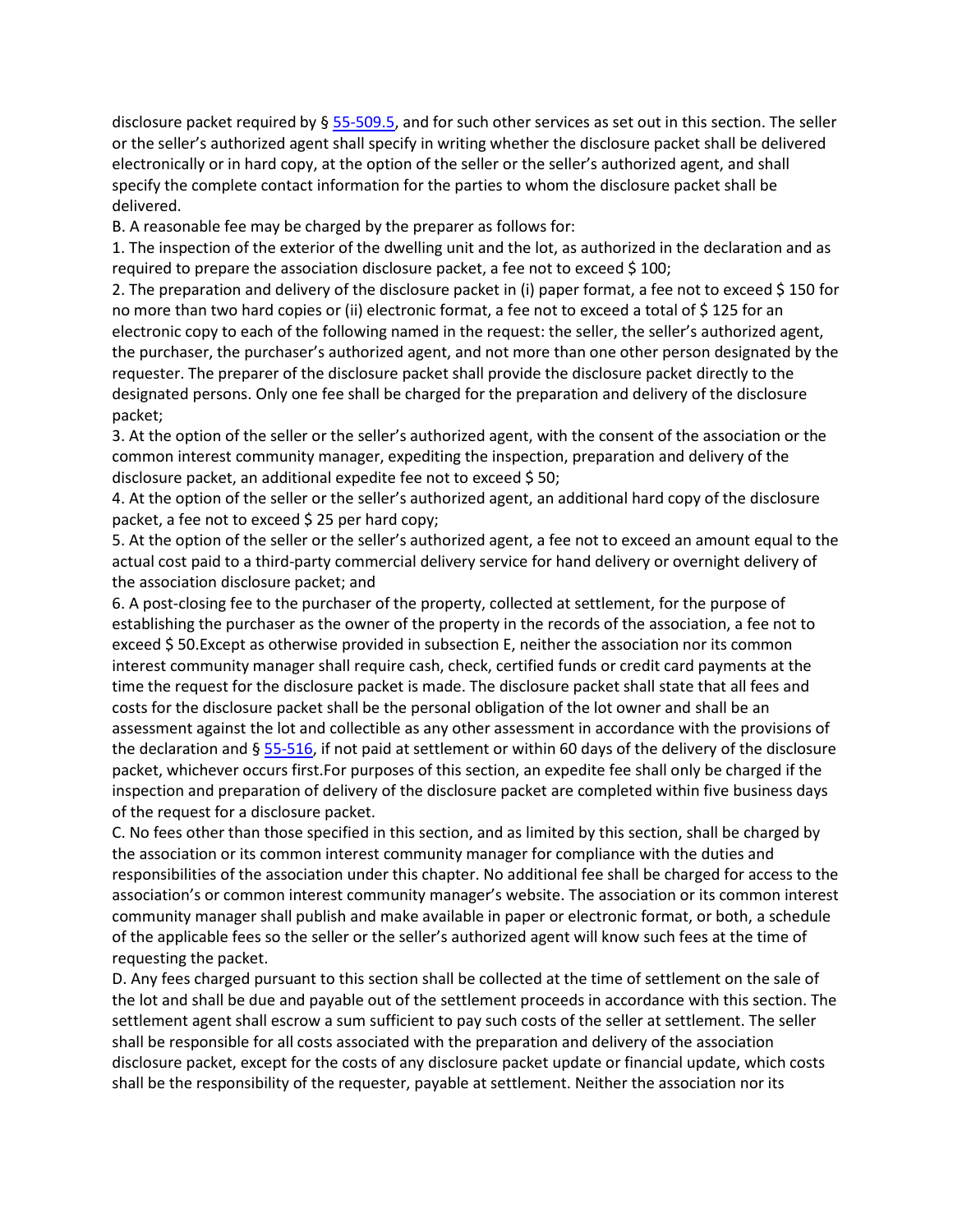disclosure packet required by § [55-509.5,](https://vacode.org/55-509.5/) and for such other services as set out in this section. The seller or the seller's authorized agent shall specify in writing whether the disclosure packet shall be delivered electronically or in hard copy, at the option of the seller or the seller's authorized agent, and shall specify the complete contact information for the parties to whom the disclosure packet shall be delivered.

B. A reasonable fee may be charged by the preparer as follows for:

1. The inspection of the exterior of the dwelling unit and the lot, as authorized in the declaration and as required to prepare the association disclosure packet, a fee not to exceed \$ 100;

2. The preparation and delivery of the disclosure packet in (i) paper format, a fee not to exceed \$ 150 for no more than two hard copies or (ii) electronic format, a fee not to exceed a total of \$ 125 for an electronic copy to each of the following named in the request: the seller, the seller's authorized agent, the purchaser, the purchaser's authorized agent, and not more than one other person designated by the requester. The preparer of the disclosure packet shall provide the disclosure packet directly to the designated persons. Only one fee shall be charged for the preparation and delivery of the disclosure packet;

3. At the option of the seller or the seller's authorized agent, with the consent of the association or the common interest community manager, expediting the inspection, preparation and delivery of the disclosure packet, an additional expedite fee not to exceed \$ 50;

4. At the option of the seller or the seller's authorized agent, an additional hard copy of the disclosure packet, a fee not to exceed  $\frac{1}{2}$  25 per hard copy;

5. At the option of the seller or the seller's authorized agent, a fee not to exceed an amount equal to the actual cost paid to a third-party commercial delivery service for hand delivery or overnight delivery of the association disclosure packet; and

6. A post-closing fee to the purchaser of the property, collected at settlement, for the purpose of establishing the purchaser as the owner of the property in the records of the association, a fee not to exceed \$ 50.Except as otherwise provided in subsection E, neither the association nor its common interest community manager shall require cash, check, certified funds or credit card payments at the time the request for the disclosure packet is made. The disclosure packet shall state that all fees and costs for the disclosure packet shall be the personal obligation of the lot owner and shall be an assessment against the lot and collectible as any other assessment in accordance with the provisions of the declaration and  $\S$  [55-516,](https://vacode.org/55-516/) if not paid at settlement or within 60 days of the delivery of the disclosure packet, whichever occurs first.For purposes of this section, an expedite fee shall only be charged if the inspection and preparation of delivery of the disclosure packet are completed within five business days of the request for a disclosure packet.

C. No fees other than those specified in this section, and as limited by this section, shall be charged by the association or its common interest community manager for compliance with the duties and responsibilities of the association under this chapter. No additional fee shall be charged for access to the association's or common interest community manager's website. The association or its common interest community manager shall publish and make available in paper or electronic format, or both, a schedule of the applicable fees so the seller or the seller's authorized agent will know such fees at the time of requesting the packet.

D. Any fees charged pursuant to this section shall be collected at the time of settlement on the sale of the lot and shall be due and payable out of the settlement proceeds in accordance with this section. The settlement agent shall escrow a sum sufficient to pay such costs of the seller at settlement. The seller shall be responsible for all costs associated with the preparation and delivery of the association disclosure packet, except for the costs of any disclosure packet update or financial update, which costs shall be the responsibility of the requester, payable at settlement. Neither the association nor its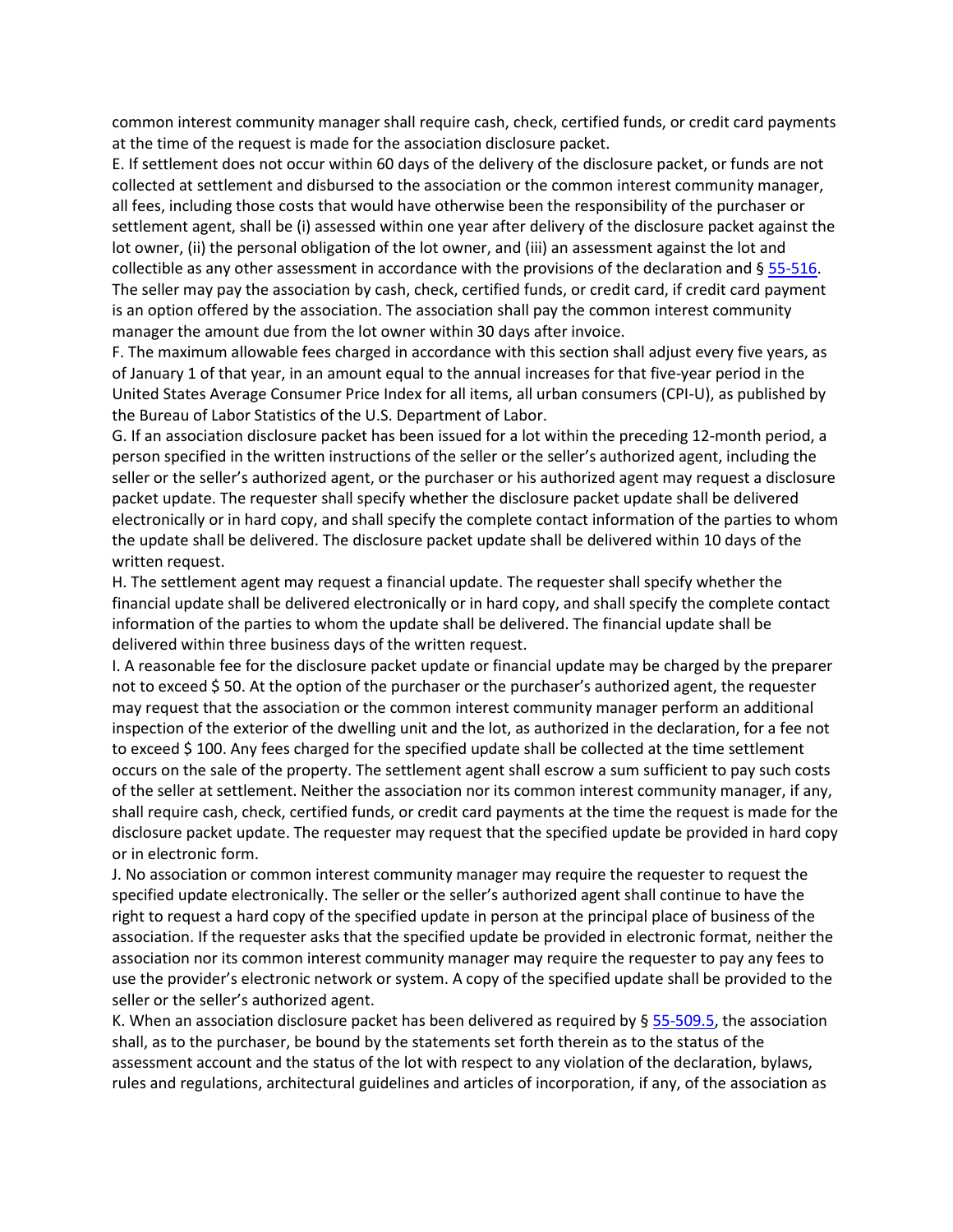common interest community manager shall require cash, check, certified funds, or credit card payments at the time of the request is made for the association disclosure packet.

E. If settlement does not occur within 60 days of the delivery of the disclosure packet, or funds are not collected at settlement and disbursed to the association or the common interest community manager, all fees, including those costs that would have otherwise been the responsibility of the purchaser or settlement agent, shall be (i) assessed within one year after delivery of the disclosure packet against the lot owner, (ii) the personal obligation of the lot owner, and (iii) an assessment against the lot and collectible as any other assessment in accordance with the provisions of the declaration and  $\S$  [55-516.](https://vacode.org/55-516/) The seller may pay the association by cash, check, certified funds, or credit card, if credit card payment is an option offered by the association. The association shall pay the common interest community manager the amount due from the lot owner within 30 days after invoice.

F. The maximum allowable fees charged in accordance with this section shall adjust every five years, as of January 1 of that year, in an amount equal to the annual increases for that five-year period in the United States Average Consumer Price Index for all items, all urban consumers (CPI-U), as published by the Bureau of Labor Statistics of the U.S. Department of Labor.

G. If an association disclosure packet has been issued for a lot within the preceding 12-month period, a person specified in the written instructions of the seller or the seller's authorized agent, including the seller or the seller's authorized agent, or the purchaser or his authorized agent may request a disclosure packet update. The requester shall specify whether the disclosure packet update shall be delivered electronically or in hard copy, and shall specify the complete contact information of the parties to whom the update shall be delivered. The disclosure packet update shall be delivered within 10 days of the written request.

H. The settlement agent may request a financial update. The requester shall specify whether the financial update shall be delivered electronically or in hard copy, and shall specify the complete contact information of the parties to whom the update shall be delivered. The financial update shall be delivered within three business days of the written request.

I. A reasonable fee for the disclosure packet update or financial update may be charged by the preparer not to exceed \$ 50. At the option of the purchaser or the purchaser's authorized agent, the requester may request that the association or the common interest community manager perform an additional inspection of the exterior of the dwelling unit and the lot, as authorized in the declaration, for a fee not to exceed \$ 100. Any fees charged for the specified update shall be collected at the time settlement occurs on the sale of the property. The settlement agent shall escrow a sum sufficient to pay such costs of the seller at settlement. Neither the association nor its common interest community manager, if any, shall require cash, check, certified funds, or credit card payments at the time the request is made for the disclosure packet update. The requester may request that the specified update be provided in hard copy or in electronic form.

J. No association or common interest community manager may require the requester to request the specified update electronically. The seller or the seller's authorized agent shall continue to have the right to request a hard copy of the specified update in person at the principal place of business of the association. If the requester asks that the specified update be provided in electronic format, neither the association nor its common interest community manager may require the requester to pay any fees to use the provider's electronic network or system. A copy of the specified update shall be provided to the seller or the seller's authorized agent.

K. When an association disclosure packet has been delivered as required by  $\S$  [55-509.5,](https://vacode.org/55-509.5/) the association shall, as to the purchaser, be bound by the statements set forth therein as to the status of the assessment account and the status of the lot with respect to any violation of the declaration, bylaws, rules and regulations, architectural guidelines and articles of incorporation, if any, of the association as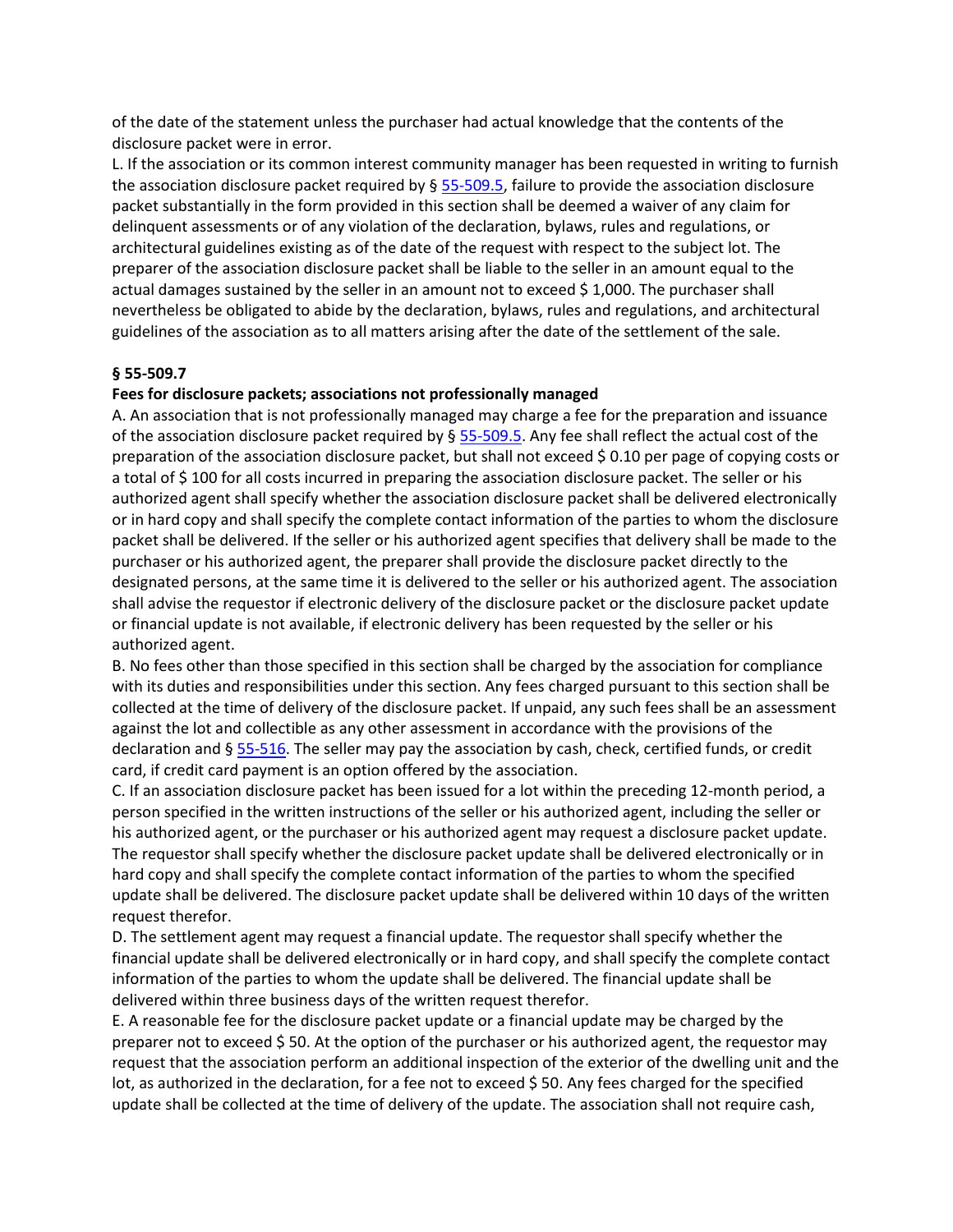of the date of the statement unless the purchaser had actual knowledge that the contents of the disclosure packet were in error.

L. If the association or its common interest community manager has been requested in writing to furnish the association disclosure packet required by  $\S$  [55-509.5,](https://vacode.org/55-509.5/) failure to provide the association disclosure packet substantially in the form provided in this section shall be deemed a waiver of any claim for delinquent assessments or of any violation of the declaration, bylaws, rules and regulations, or architectural guidelines existing as of the date of the request with respect to the subject lot. The preparer of the association disclosure packet shall be liable to the seller in an amount equal to the actual damages sustained by the seller in an amount not to exceed \$ 1,000. The purchaser shall nevertheless be obligated to abide by the declaration, bylaws, rules and regulations, and architectural guidelines of the association as to all matters arising after the date of the settlement of the sale.

# **§ 55-509.7**

# **Fees for disclosure packets; associations not professionally managed**

A. An association that is not professionally managed may charge a fee for the preparation and issuance of the association disclosure packet required by § [55-509.5.](https://vacode.org/55-509.5/) Any fee shall reflect the actual cost of the preparation of the association disclosure packet, but shall not exceed \$ 0.10 per page of copying costs or a total of \$ 100 for all costs incurred in preparing the association disclosure packet. The seller or his authorized agent shall specify whether the association disclosure packet shall be delivered electronically or in hard copy and shall specify the complete contact information of the parties to whom the disclosure packet shall be delivered. If the seller or his authorized agent specifies that delivery shall be made to the purchaser or his authorized agent, the preparer shall provide the disclosure packet directly to the designated persons, at the same time it is delivered to the seller or his authorized agent. The association shall advise the requestor if electronic delivery of the disclosure packet or the disclosure packet update or financial update is not available, if electronic delivery has been requested by the seller or his authorized agent.

B. No fees other than those specified in this section shall be charged by the association for compliance with its duties and responsibilities under this section. Any fees charged pursuant to this section shall be collected at the time of delivery of the disclosure packet. If unpaid, any such fees shall be an assessment against the lot and collectible as any other assessment in accordance with the provisions of the declaration and § [55-516.](https://vacode.org/55-516/) The seller may pay the association by cash, check, certified funds, or credit card, if credit card payment is an option offered by the association.

C. If an association disclosure packet has been issued for a lot within the preceding 12-month period, a person specified in the written instructions of the seller or his authorized agent, including the seller or his authorized agent, or the purchaser or his authorized agent may request a disclosure packet update. The requestor shall specify whether the disclosure packet update shall be delivered electronically or in hard copy and shall specify the complete contact information of the parties to whom the specified update shall be delivered. The disclosure packet update shall be delivered within 10 days of the written request therefor.

D. The settlement agent may request a financial update. The requestor shall specify whether the financial update shall be delivered electronically or in hard copy, and shall specify the complete contact information of the parties to whom the update shall be delivered. The financial update shall be delivered within three business days of the written request therefor.

E. A reasonable fee for the disclosure packet update or a financial update may be charged by the preparer not to exceed \$ 50. At the option of the purchaser or his authorized agent, the requestor may request that the association perform an additional inspection of the exterior of the dwelling unit and the lot, as authorized in the declaration, for a fee not to exceed \$50. Any fees charged for the specified update shall be collected at the time of delivery of the update. The association shall not require cash,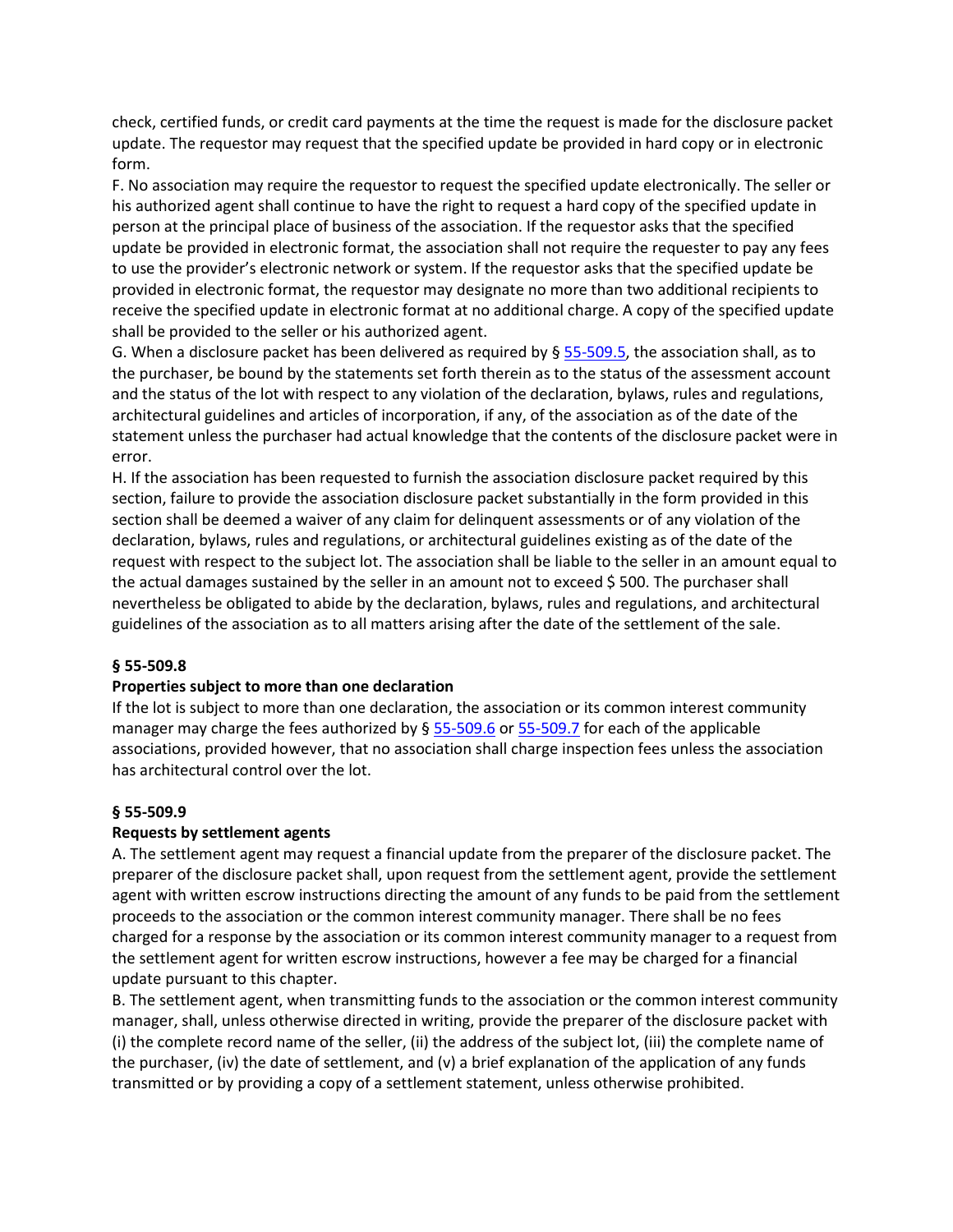check, certified funds, or credit card payments at the time the request is made for the disclosure packet update. The requestor may request that the specified update be provided in hard copy or in electronic form.

F. No association may require the requestor to request the specified update electronically. The seller or his authorized agent shall continue to have the right to request a hard copy of the specified update in person at the principal place of business of the association. If the requestor asks that the specified update be provided in electronic format, the association shall not require the requester to pay any fees to use the provider's electronic network or system. If the requestor asks that the specified update be provided in electronic format, the requestor may designate no more than two additional recipients to receive the specified update in electronic format at no additional charge. A copy of the specified update shall be provided to the seller or his authorized agent.

G. When a disclosure packet has been delivered as required by § [55-509.5,](https://vacode.org/55-509.5/) the association shall, as to the purchaser, be bound by the statements set forth therein as to the status of the assessment account and the status of the lot with respect to any violation of the declaration, bylaws, rules and regulations, architectural guidelines and articles of incorporation, if any, of the association as of the date of the statement unless the purchaser had actual knowledge that the contents of the disclosure packet were in error.

H. If the association has been requested to furnish the association disclosure packet required by this section, failure to provide the association disclosure packet substantially in the form provided in this section shall be deemed a waiver of any claim for delinquent assessments or of any violation of the declaration, bylaws, rules and regulations, or architectural guidelines existing as of the date of the request with respect to the subject lot. The association shall be liable to the seller in an amount equal to the actual damages sustained by the seller in an amount not to exceed \$500. The purchaser shall nevertheless be obligated to abide by the declaration, bylaws, rules and regulations, and architectural guidelines of the association as to all matters arising after the date of the settlement of the sale.

# **§ 55-509.8**

### **Properties subject to more than one declaration**

If the lot is subject to more than one declaration, the association or its common interest community manager may charge the fees authorized by § [55-509.6](https://vacode.org/55-509.6/) or [55-509.7](https://vacode.org/55-509.7/) for each of the applicable associations, provided however, that no association shall charge inspection fees unless the association has architectural control over the lot.

### **§ 55-509.9**

### **Requests by settlement agents**

A. The settlement agent may request a financial update from the preparer of the disclosure packet. The preparer of the disclosure packet shall, upon request from the settlement agent, provide the settlement agent with written escrow instructions directing the amount of any funds to be paid from the settlement proceeds to the association or the common interest community manager. There shall be no fees charged for a response by the association or its common interest community manager to a request from the settlement agent for written escrow instructions, however a fee may be charged for a financial update pursuant to this chapter.

B. The settlement agent, when transmitting funds to the association or the common interest community manager, shall, unless otherwise directed in writing, provide the preparer of the disclosure packet with (i) the complete record name of the seller, (ii) the address of the subject lot, (iii) the complete name of the purchaser, (iv) the date of settlement, and (v) a brief explanation of the application of any funds transmitted or by providing a copy of a settlement statement, unless otherwise prohibited.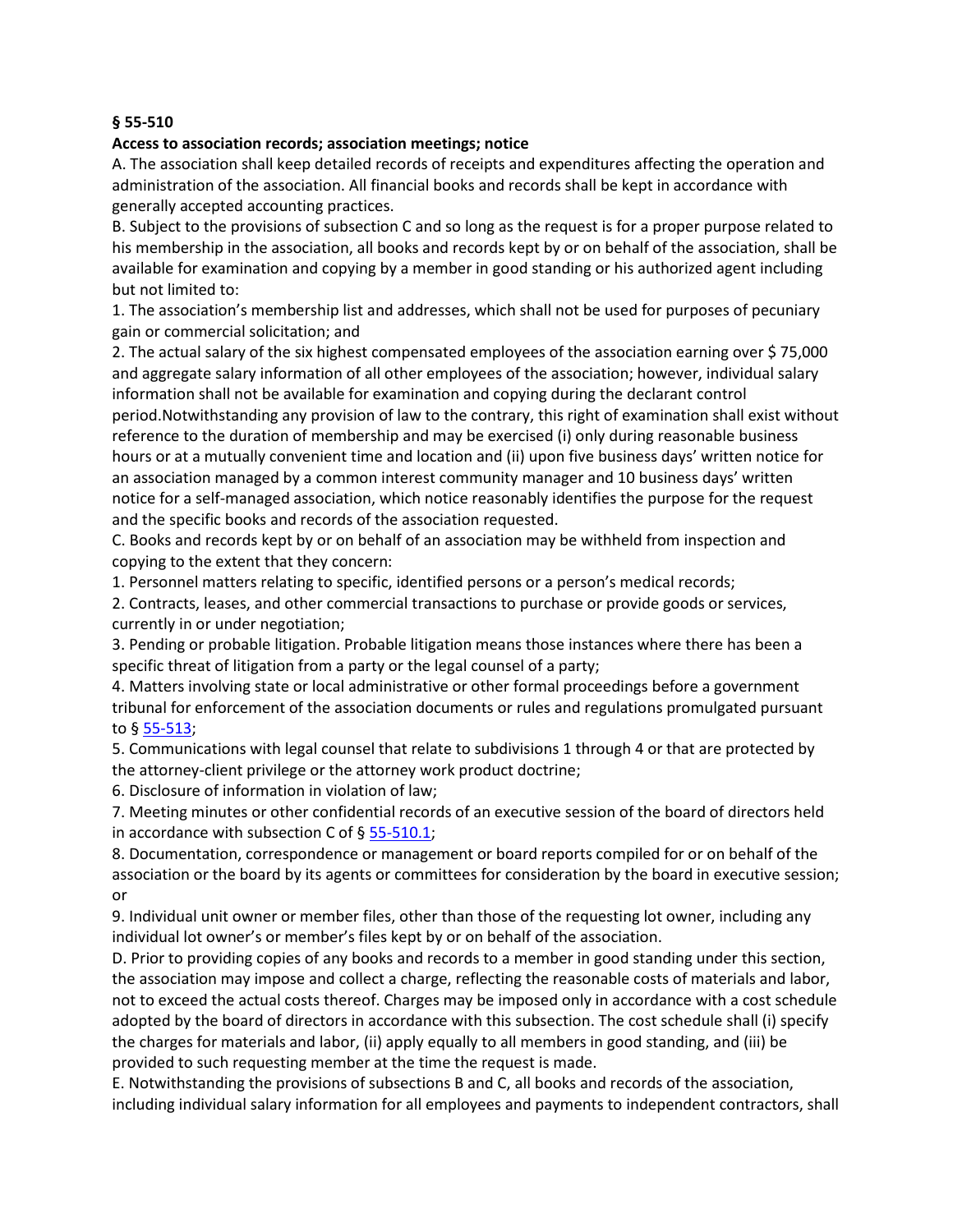### **§ 55-510**

### **Access to association records; association meetings; notice**

A. The association shall keep detailed records of receipts and expenditures affecting the operation and administration of the association. All financial books and records shall be kept in accordance with generally accepted accounting practices.

B. Subject to the provisions of subsection C and so long as the request is for a proper purpose related to his membership in the association, all books and records kept by or on behalf of the association, shall be available for examination and copying by a member in good standing or his authorized agent including but not limited to:

1. The association's membership list and addresses, which shall not be used for purposes of pecuniary gain or commercial solicitation; and

2. The actual salary of the six highest compensated employees of the association earning over \$ 75,000 and aggregate salary information of all other employees of the association; however, individual salary information shall not be available for examination and copying during the declarant control period.Notwithstanding any provision of law to the contrary, this right of examination shall exist without reference to the duration of membership and may be exercised (i) only during reasonable business hours or at a mutually convenient time and location and (ii) upon five business days' written notice for an association managed by a common interest community manager and 10 business days' written notice for a self-managed association, which notice reasonably identifies the purpose for the request and the specific books and records of the association requested.

C. Books and records kept by or on behalf of an association may be withheld from inspection and copying to the extent that they concern:

1. Personnel matters relating to specific, identified persons or a person's medical records;

2. Contracts, leases, and other commercial transactions to purchase or provide goods or services, currently in or under negotiation;

3. Pending or probable litigation. Probable litigation means those instances where there has been a specific threat of litigation from a party or the legal counsel of a party;

4. Matters involving state or local administrative or other formal proceedings before a government tribunal for enforcement of the association documents or rules and regulations promulgated pursuant to § [55-513;](https://vacode.org/55-513/)

5. Communications with legal counsel that relate to subdivisions 1 through 4 or that are protected by the attorney-client privilege or the attorney work product doctrine;

6. Disclosure of information in violation of law;

7. Meeting minutes or other confidential records of an executive session of the board of directors held in accordance with subsection C of  $\S$  [55-510.1;](https://vacode.org/55-510.1/)

8. Documentation, correspondence or management or board reports compiled for or on behalf of the association or the board by its agents or committees for consideration by the board in executive session; or

9. Individual unit owner or member files, other than those of the requesting lot owner, including any individual lot owner's or member's files kept by or on behalf of the association.

D. Prior to providing copies of any books and records to a member in good standing under this section, the association may impose and collect a charge, reflecting the reasonable costs of materials and labor, not to exceed the actual costs thereof. Charges may be imposed only in accordance with a cost schedule adopted by the board of directors in accordance with this subsection. The cost schedule shall (i) specify the charges for materials and labor, (ii) apply equally to all members in good standing, and (iii) be provided to such requesting member at the time the request is made.

E. Notwithstanding the provisions of subsections B and C, all books and records of the association, including individual salary information for all employees and payments to independent contractors, shall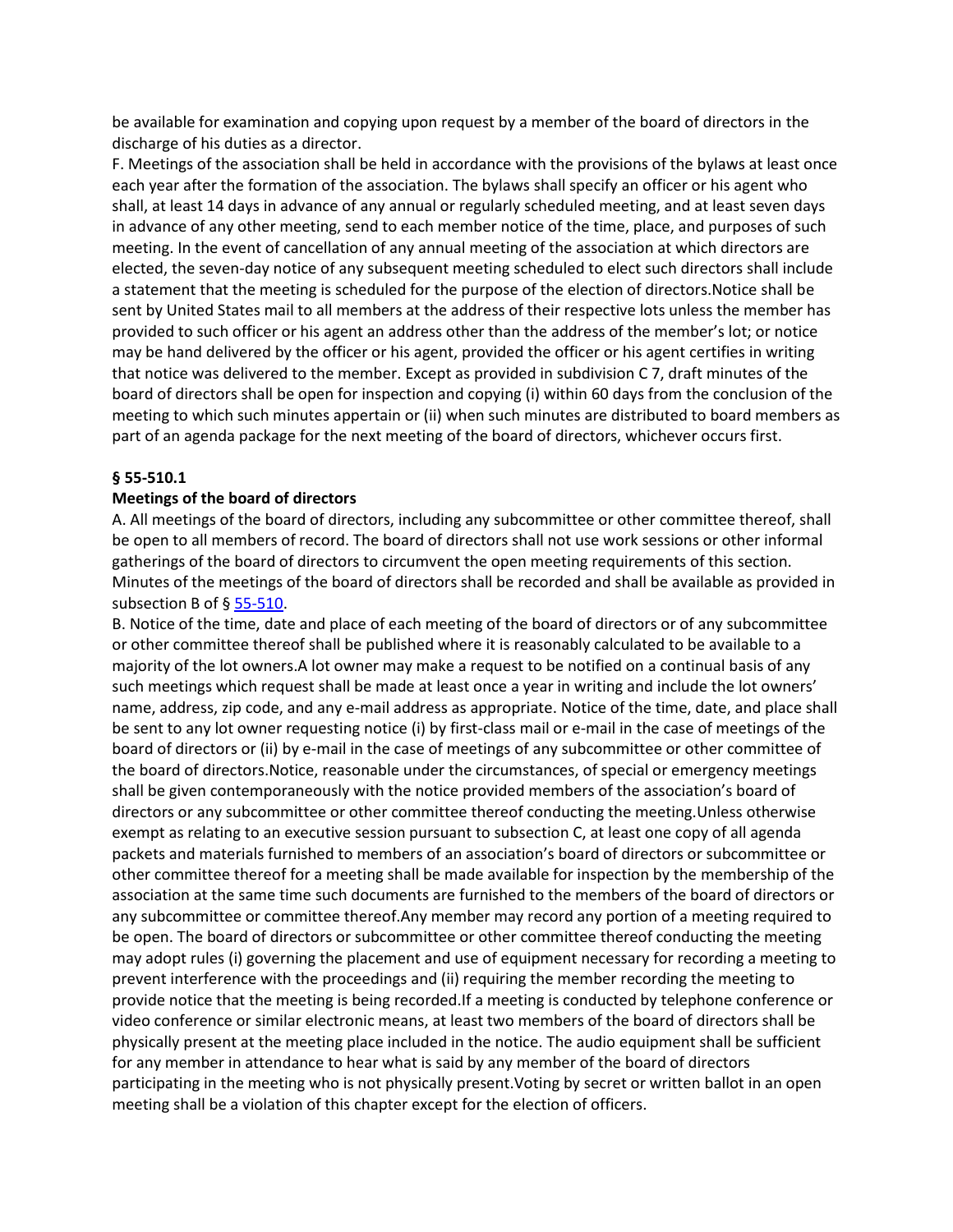be available for examination and copying upon request by a member of the board of directors in the discharge of his duties as a director.

F. Meetings of the association shall be held in accordance with the provisions of the bylaws at least once each year after the formation of the association. The bylaws shall specify an officer or his agent who shall, at least 14 days in advance of any annual or regularly scheduled meeting, and at least seven days in advance of any other meeting, send to each member notice of the time, place, and purposes of such meeting. In the event of cancellation of any annual meeting of the association at which directors are elected, the seven-day notice of any subsequent meeting scheduled to elect such directors shall include a statement that the meeting is scheduled for the purpose of the election of directors.Notice shall be sent by United States mail to all members at the address of their respective lots unless the member has provided to such officer or his agent an address other than the address of the member's lot; or notice may be hand delivered by the officer or his agent, provided the officer or his agent certifies in writing that notice was delivered to the member. Except as provided in subdivision C 7, draft minutes of the board of directors shall be open for inspection and copying (i) within 60 days from the conclusion of the meeting to which such minutes appertain or (ii) when such minutes are distributed to board members as part of an agenda package for the next meeting of the board of directors, whichever occurs first.

# **§ 55-510.1**

# **Meetings of the board of directors**

A. All meetings of the board of directors, including any subcommittee or other committee thereof, shall be open to all members of record. The board of directors shall not use work sessions or other informal gatherings of the board of directors to circumvent the open meeting requirements of this section. Minutes of the meetings of the board of directors shall be recorded and shall be available as provided in subsection B of § [55-510.](https://vacode.org/55-510/)

B. Notice of the time, date and place of each meeting of the board of directors or of any subcommittee or other committee thereof shall be published where it is reasonably calculated to be available to a majority of the lot owners.A lot owner may make a request to be notified on a continual basis of any such meetings which request shall be made at least once a year in writing and include the lot owners' name, address, zip code, and any e-mail address as appropriate. Notice of the time, date, and place shall be sent to any lot owner requesting notice (i) by first-class mail or e-mail in the case of meetings of the board of directors or (ii) by e-mail in the case of meetings of any subcommittee or other committee of the board of directors.Notice, reasonable under the circumstances, of special or emergency meetings shall be given contemporaneously with the notice provided members of the association's board of directors or any subcommittee or other committee thereof conducting the meeting.Unless otherwise exempt as relating to an executive session pursuant to subsection C, at least one copy of all agenda packets and materials furnished to members of an association's board of directors or subcommittee or other committee thereof for a meeting shall be made available for inspection by the membership of the association at the same time such documents are furnished to the members of the board of directors or any subcommittee or committee thereof.Any member may record any portion of a meeting required to be open. The board of directors or subcommittee or other committee thereof conducting the meeting may adopt rules (i) governing the placement and use of equipment necessary for recording a meeting to prevent interference with the proceedings and (ii) requiring the member recording the meeting to provide notice that the meeting is being recorded.If a meeting is conducted by telephone conference or video conference or similar electronic means, at least two members of the board of directors shall be physically present at the meeting place included in the notice. The audio equipment shall be sufficient for any member in attendance to hear what is said by any member of the board of directors participating in the meeting who is not physically present.Voting by secret or written ballot in an open meeting shall be a violation of this chapter except for the election of officers.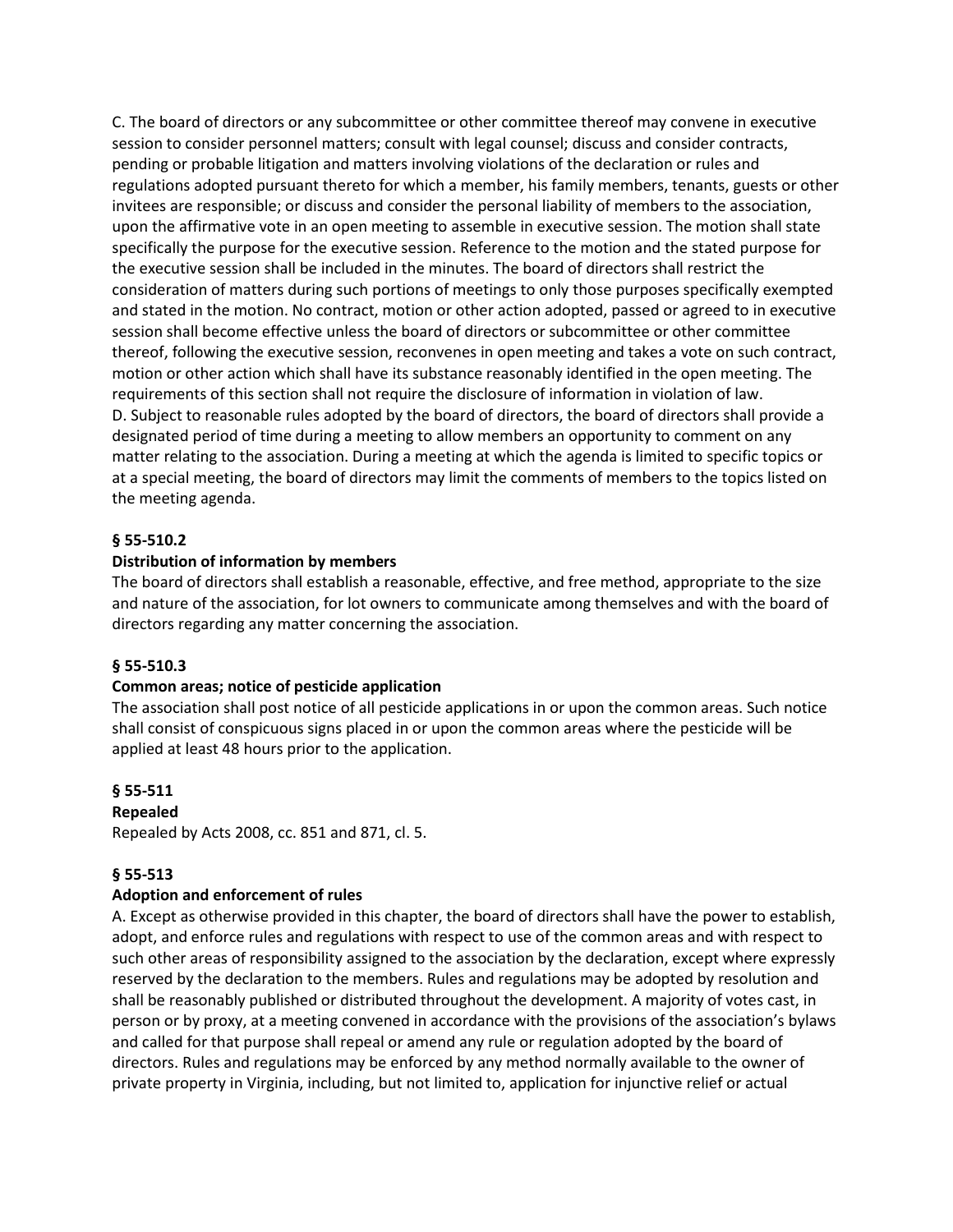C. The board of directors or any subcommittee or other committee thereof may convene in executive session to consider personnel matters; consult with legal counsel; discuss and consider contracts, pending or probable litigation and matters involving violations of the declaration or rules and regulations adopted pursuant thereto for which a member, his family members, tenants, guests or other invitees are responsible; or discuss and consider the personal liability of members to the association, upon the affirmative vote in an open meeting to assemble in executive session. The motion shall state specifically the purpose for the executive session. Reference to the motion and the stated purpose for the executive session shall be included in the minutes. The board of directors shall restrict the consideration of matters during such portions of meetings to only those purposes specifically exempted and stated in the motion. No contract, motion or other action adopted, passed or agreed to in executive session shall become effective unless the board of directors or subcommittee or other committee thereof, following the executive session, reconvenes in open meeting and takes a vote on such contract, motion or other action which shall have its substance reasonably identified in the open meeting. The requirements of this section shall not require the disclosure of information in violation of law. D. Subject to reasonable rules adopted by the board of directors, the board of directors shall provide a designated period of time during a meeting to allow members an opportunity to comment on any matter relating to the association. During a meeting at which the agenda is limited to specific topics or at a special meeting, the board of directors may limit the comments of members to the topics listed on the meeting agenda.

# **§ 55-510.2**

# **Distribution of information by members**

The board of directors shall establish a reasonable, effective, and free method, appropriate to the size and nature of the association, for lot owners to communicate among themselves and with the board of directors regarding any matter concerning the association.

### **§ 55-510.3**

### **Common areas; notice of pesticide application**

The association shall post notice of all pesticide applications in or upon the common areas. Such notice shall consist of conspicuous signs placed in or upon the common areas where the pesticide will be applied at least 48 hours prior to the application.

### **§ 55-511**

#### **Repealed**

Repealed by Acts 2008, cc. 851 and 871, cl. 5.

### **§ 55-513**

### **Adoption and enforcement of rules**

A. Except as otherwise provided in this chapter, the board of directors shall have the power to establish, adopt, and enforce rules and regulations with respect to use of the common areas and with respect to such other areas of responsibility assigned to the association by the declaration, except where expressly reserved by the declaration to the members. Rules and regulations may be adopted by resolution and shall be reasonably published or distributed throughout the development. A majority of votes cast, in person or by proxy, at a meeting convened in accordance with the provisions of the association's bylaws and called for that purpose shall repeal or amend any rule or regulation adopted by the board of directors. Rules and regulations may be enforced by any method normally available to the owner of private property in Virginia, including, but not limited to, application for injunctive relief or actual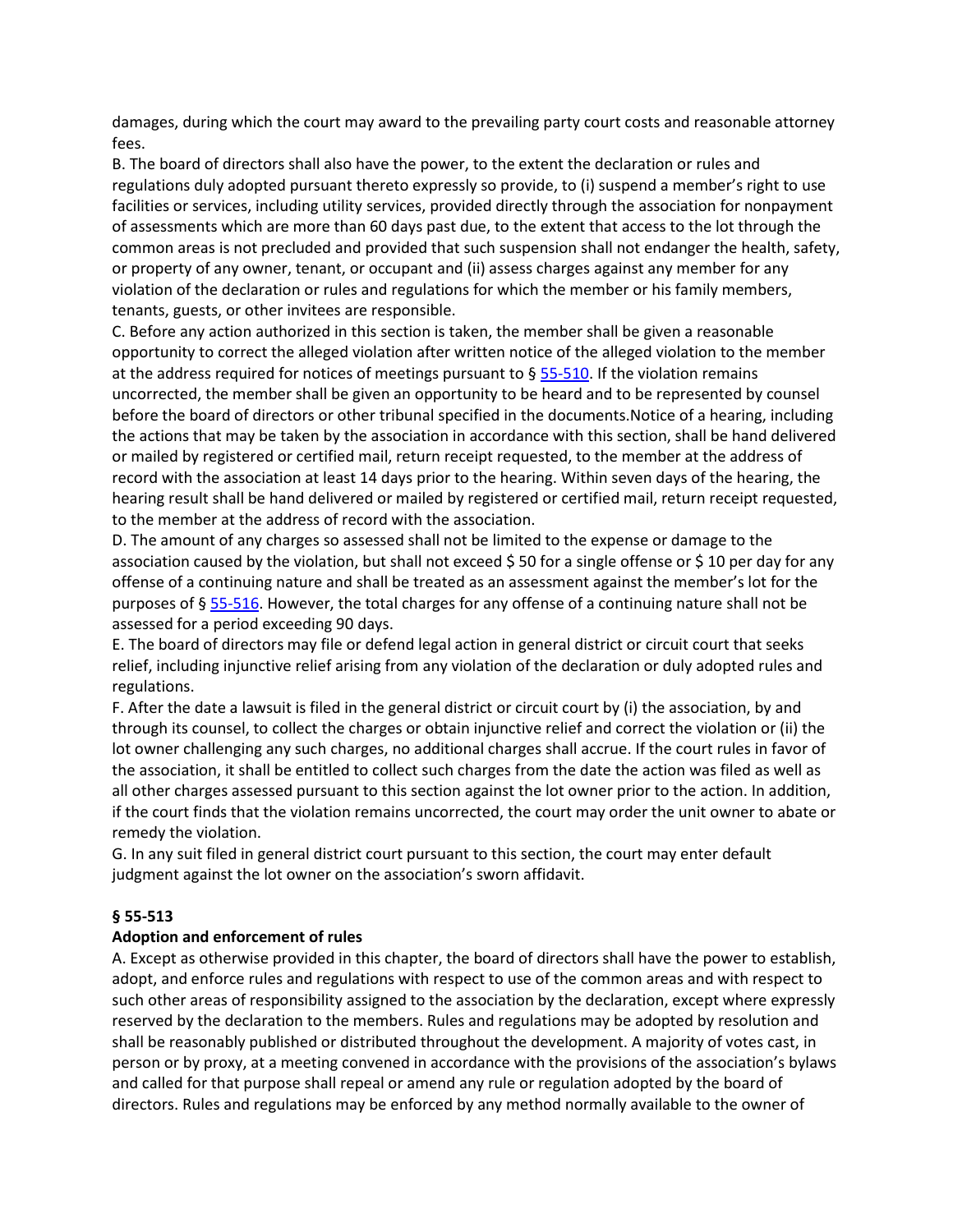damages, during which the court may award to the prevailing party court costs and reasonable attorney fees.

B. The board of directors shall also have the power, to the extent the declaration or rules and regulations duly adopted pursuant thereto expressly so provide, to (i) suspend a member's right to use facilities or services, including utility services, provided directly through the association for nonpayment of assessments which are more than 60 days past due, to the extent that access to the lot through the common areas is not precluded and provided that such suspension shall not endanger the health, safety, or property of any owner, tenant, or occupant and (ii) assess charges against any member for any violation of the declaration or rules and regulations for which the member or his family members, tenants, guests, or other invitees are responsible.

C. Before any action authorized in this section is taken, the member shall be given a reasonable opportunity to correct the alleged violation after written notice of the alleged violation to the member at the address required for notices of meetings pursuant to  $\S$  [55-510.](https://vacode.org/55-510/) If the violation remains uncorrected, the member shall be given an opportunity to be heard and to be represented by counsel before the board of directors or other tribunal specified in the documents.Notice of a hearing, including the actions that may be taken by the association in accordance with this section, shall be hand delivered or mailed by registered or certified mail, return receipt requested, to the member at the address of record with the association at least 14 days prior to the hearing. Within seven days of the hearing, the hearing result shall be hand delivered or mailed by registered or certified mail, return receipt requested, to the member at the address of record with the association.

D. The amount of any charges so assessed shall not be limited to the expense or damage to the association caused by the violation, but shall not exceed \$50 for a single offense or \$10 per day for any offense of a continuing nature and shall be treated as an assessment against the member's lot for the purposes of § [55-516.](https://vacode.org/55-516/) However, the total charges for any offense of a continuing nature shall not be assessed for a period exceeding 90 days.

E. The board of directors may file or defend legal action in general district or circuit court that seeks relief, including injunctive relief arising from any violation of the declaration or duly adopted rules and regulations.

F. After the date a lawsuit is filed in the general district or circuit court by (i) the association, by and through its counsel, to collect the charges or obtain injunctive relief and correct the violation or (ii) the lot owner challenging any such charges, no additional charges shall accrue. If the court rules in favor of the association, it shall be entitled to collect such charges from the date the action was filed as well as all other charges assessed pursuant to this section against the lot owner prior to the action. In addition, if the court finds that the violation remains uncorrected, the court may order the unit owner to abate or remedy the violation.

G. In any suit filed in general district court pursuant to this section, the court may enter default judgment against the lot owner on the association's sworn affidavit.

# **§ 55-513**

# **Adoption and enforcement of rules**

A. Except as otherwise provided in this chapter, the board of directors shall have the power to establish, adopt, and enforce rules and regulations with respect to use of the common areas and with respect to such other areas of responsibility assigned to the association by the declaration, except where expressly reserved by the declaration to the members. Rules and regulations may be adopted by resolution and shall be reasonably published or distributed throughout the development. A majority of votes cast, in person or by proxy, at a meeting convened in accordance with the provisions of the association's bylaws and called for that purpose shall repeal or amend any rule or regulation adopted by the board of directors. Rules and regulations may be enforced by any method normally available to the owner of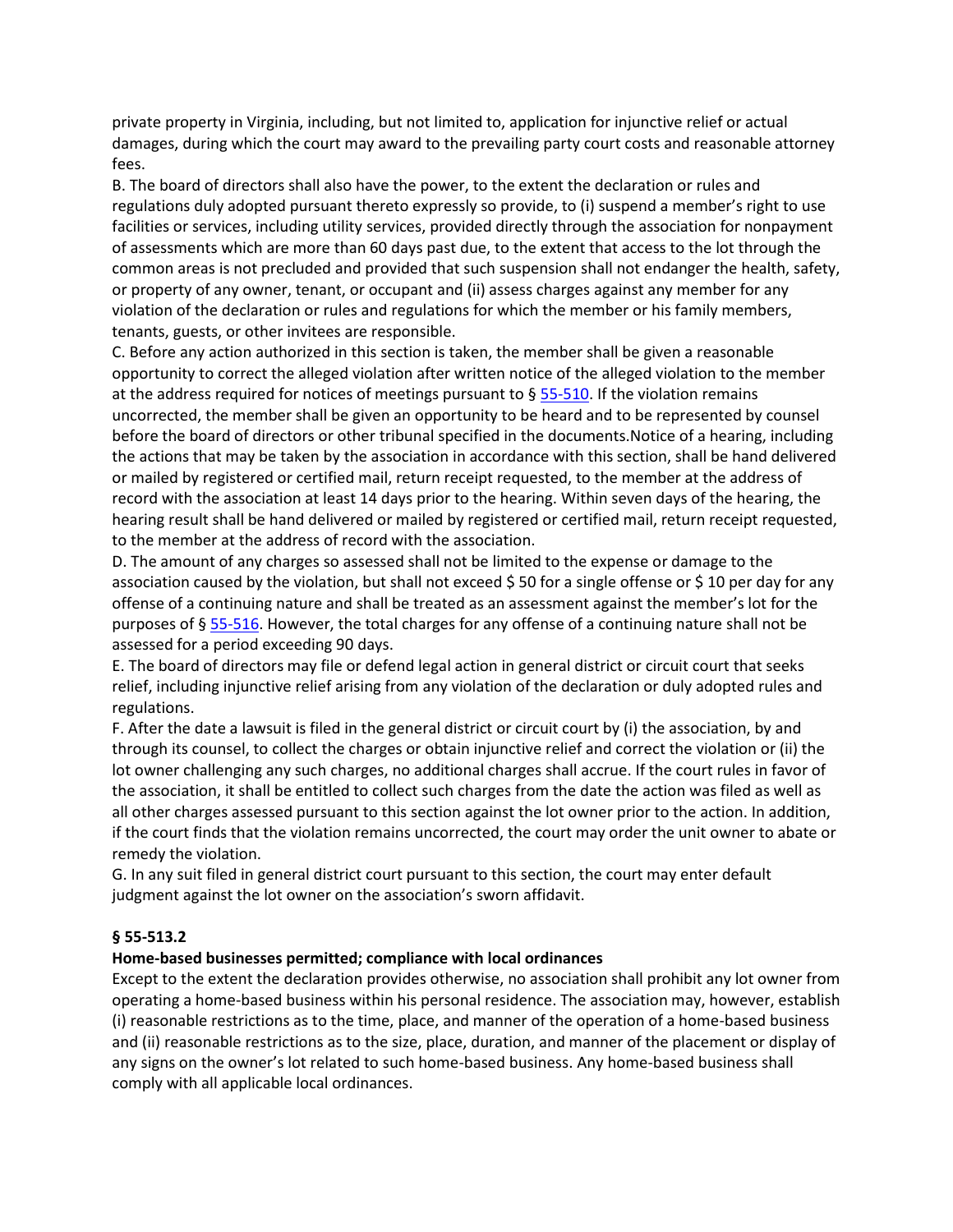private property in Virginia, including, but not limited to, application for injunctive relief or actual damages, during which the court may award to the prevailing party court costs and reasonable attorney fees.

B. The board of directors shall also have the power, to the extent the declaration or rules and regulations duly adopted pursuant thereto expressly so provide, to (i) suspend a member's right to use facilities or services, including utility services, provided directly through the association for nonpayment of assessments which are more than 60 days past due, to the extent that access to the lot through the common areas is not precluded and provided that such suspension shall not endanger the health, safety, or property of any owner, tenant, or occupant and (ii) assess charges against any member for any violation of the declaration or rules and regulations for which the member or his family members, tenants, guests, or other invitees are responsible.

C. Before any action authorized in this section is taken, the member shall be given a reasonable opportunity to correct the alleged violation after written notice of the alleged violation to the member at the address required for notices of meetings pursuant to § [55-510.](https://vacode.org/55-510/) If the violation remains uncorrected, the member shall be given an opportunity to be heard and to be represented by counsel before the board of directors or other tribunal specified in the documents.Notice of a hearing, including the actions that may be taken by the association in accordance with this section, shall be hand delivered or mailed by registered or certified mail, return receipt requested, to the member at the address of record with the association at least 14 days prior to the hearing. Within seven days of the hearing, the hearing result shall be hand delivered or mailed by registered or certified mail, return receipt requested, to the member at the address of record with the association.

D. The amount of any charges so assessed shall not be limited to the expense or damage to the association caused by the violation, but shall not exceed \$ 50 for a single offense or \$ 10 per day for any offense of a continuing nature and shall be treated as an assessment against the member's lot for the purposes of § [55-516.](https://vacode.org/55-516/) However, the total charges for any offense of a continuing nature shall not be assessed for a period exceeding 90 days.

E. The board of directors may file or defend legal action in general district or circuit court that seeks relief, including injunctive relief arising from any violation of the declaration or duly adopted rules and regulations.

F. After the date a lawsuit is filed in the general district or circuit court by (i) the association, by and through its counsel, to collect the charges or obtain injunctive relief and correct the violation or (ii) the lot owner challenging any such charges, no additional charges shall accrue. If the court rules in favor of the association, it shall be entitled to collect such charges from the date the action was filed as well as all other charges assessed pursuant to this section against the lot owner prior to the action. In addition, if the court finds that the violation remains uncorrected, the court may order the unit owner to abate or remedy the violation.

G. In any suit filed in general district court pursuant to this section, the court may enter default judgment against the lot owner on the association's sworn affidavit.

# **§ 55-513.2**

# **Home-based businesses permitted; compliance with local ordinances**

Except to the extent the declaration provides otherwise, no association shall prohibit any lot owner from operating a home-based business within his personal residence. The association may, however, establish (i) reasonable restrictions as to the time, place, and manner of the operation of a home-based business and (ii) reasonable restrictions as to the size, place, duration, and manner of the placement or display of any signs on the owner's lot related to such home-based business. Any home-based business shall comply with all applicable local ordinances.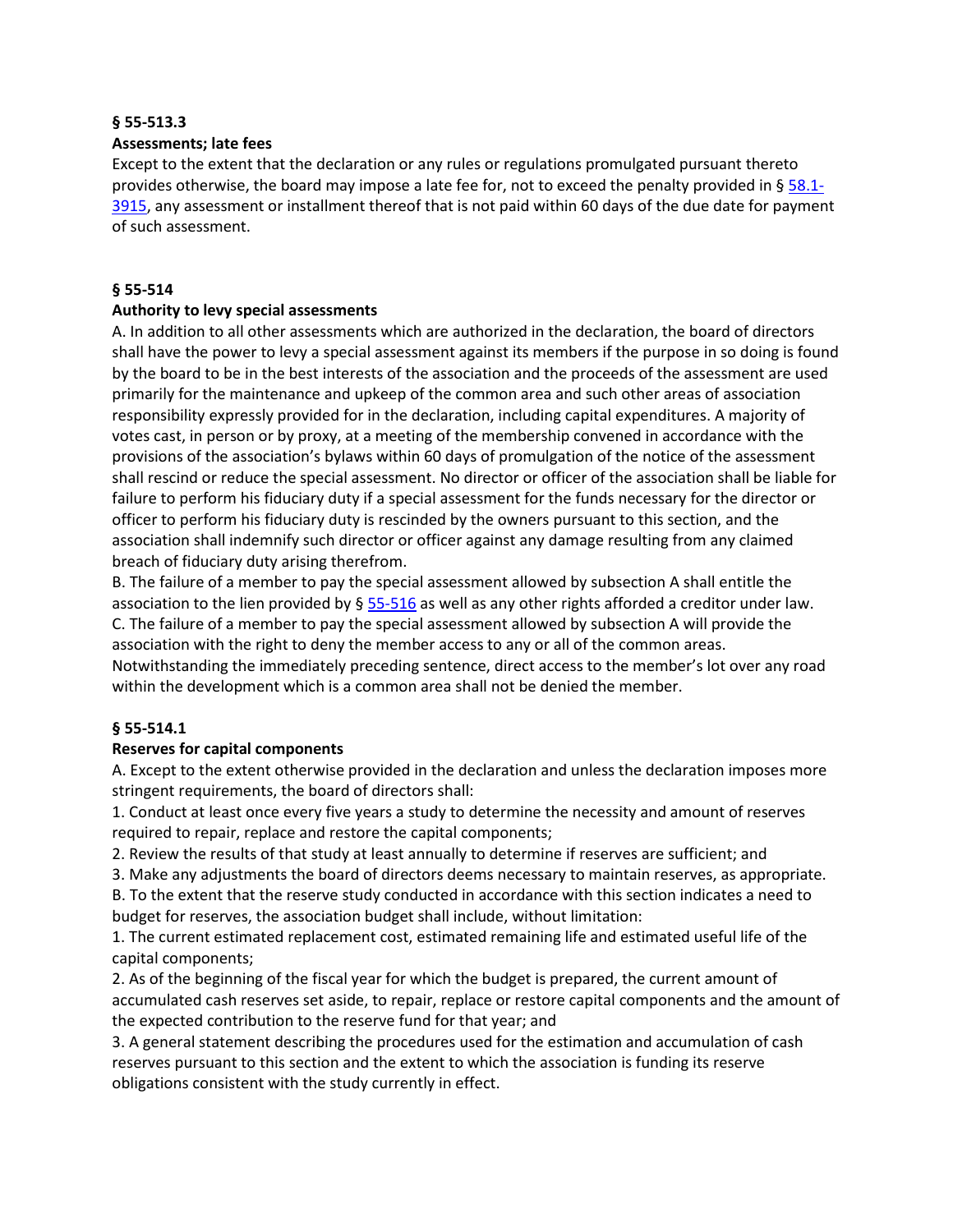### **§ 55-513.3**

# **Assessments; late fees**

Except to the extent that the declaration or any rules or regulations promulgated pursuant thereto provides otherwise, the board may impose a late fee for, not to exceed the penalty provided in §  $58.1$ -[3915,](https://vacode.org/58.1-3915/) any assessment or installment thereof that is not paid within 60 days of the due date for payment of such assessment.

# **§ 55-514**

# **Authority to levy special assessments**

A. In addition to all other assessments which are authorized in the declaration, the board of directors shall have the power to levy a special assessment against its members if the purpose in so doing is found by the board to be in the best interests of the association and the proceeds of the assessment are used primarily for the maintenance and upkeep of the common area and such other areas of association responsibility expressly provided for in the declaration, including capital expenditures. A majority of votes cast, in person or by proxy, at a meeting of the membership convened in accordance with the provisions of the association's bylaws within 60 days of promulgation of the notice of the assessment shall rescind or reduce the special assessment. No director or officer of the association shall be liable for failure to perform his fiduciary duty if a special assessment for the funds necessary for the director or officer to perform his fiduciary duty is rescinded by the owners pursuant to this section, and the association shall indemnify such director or officer against any damage resulting from any claimed breach of fiduciary duty arising therefrom.

B. The failure of a member to pay the special assessment allowed by subsection A shall entitle the association to the lien provided by  $\S 55-516$  $\S 55-516$  as well as any other rights afforded a creditor under law. C. The failure of a member to pay the special assessment allowed by subsection A will provide the association with the right to deny the member access to any or all of the common areas. Notwithstanding the immediately preceding sentence, direct access to the member's lot over any road within the development which is a common area shall not be denied the member.

# **§ 55-514.1**

# **Reserves for capital components**

A. Except to the extent otherwise provided in the declaration and unless the declaration imposes more stringent requirements, the board of directors shall:

1. Conduct at least once every five years a study to determine the necessity and amount of reserves required to repair, replace and restore the capital components;

2. Review the results of that study at least annually to determine if reserves are sufficient; and

3. Make any adjustments the board of directors deems necessary to maintain reserves, as appropriate.

B. To the extent that the reserve study conducted in accordance with this section indicates a need to budget for reserves, the association budget shall include, without limitation:

1. The current estimated replacement cost, estimated remaining life and estimated useful life of the capital components;

2. As of the beginning of the fiscal year for which the budget is prepared, the current amount of accumulated cash reserves set aside, to repair, replace or restore capital components and the amount of the expected contribution to the reserve fund for that year; and

3. A general statement describing the procedures used for the estimation and accumulation of cash reserves pursuant to this section and the extent to which the association is funding its reserve obligations consistent with the study currently in effect.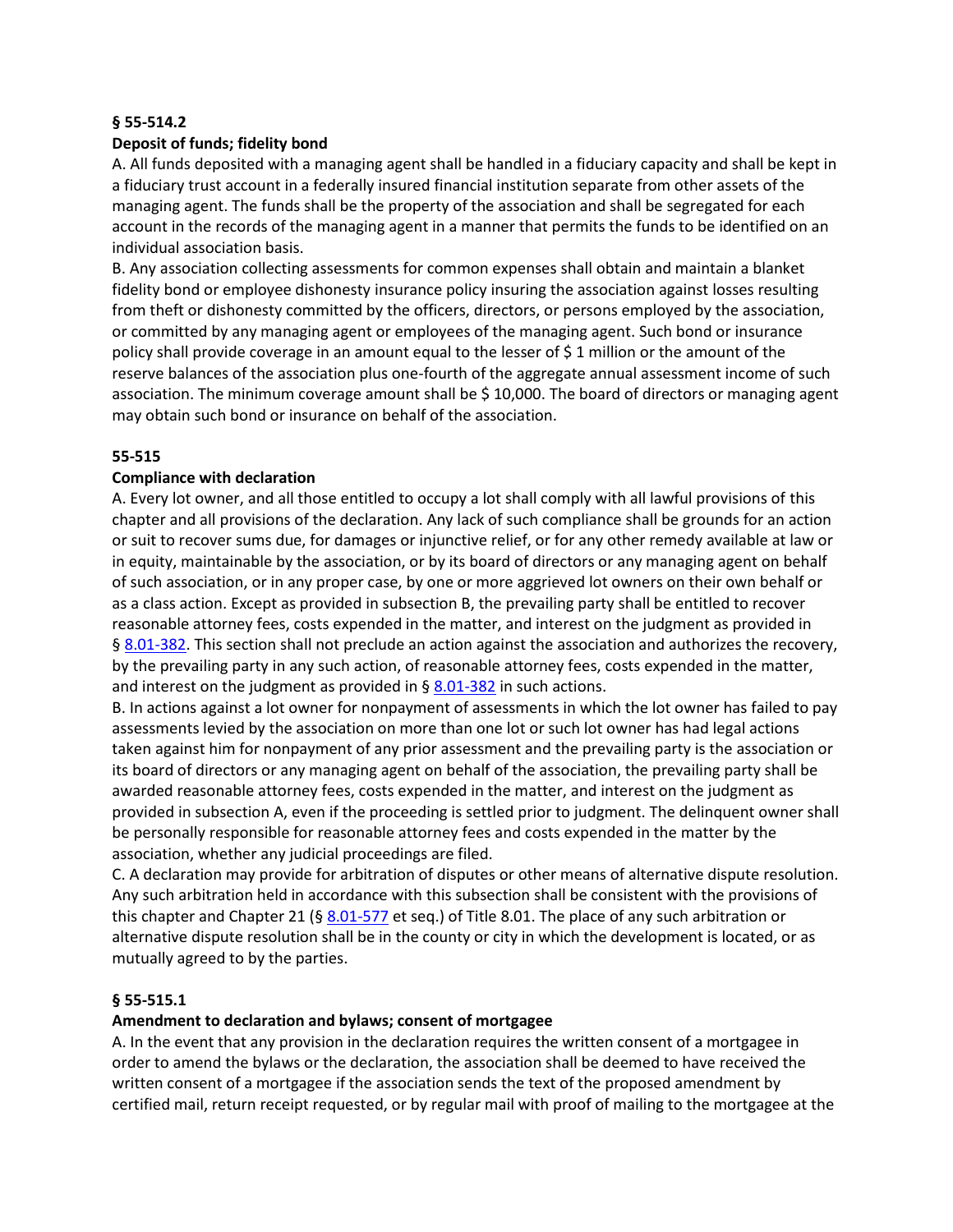### **§ 55-514.2**

### **Deposit of funds; fidelity bond**

A. All funds deposited with a managing agent shall be handled in a fiduciary capacity and shall be kept in a fiduciary trust account in a federally insured financial institution separate from other assets of the managing agent. The funds shall be the property of the association and shall be segregated for each account in the records of the managing agent in a manner that permits the funds to be identified on an individual association basis.

B. Any association collecting assessments for common expenses shall obtain and maintain a blanket fidelity bond or employee dishonesty insurance policy insuring the association against losses resulting from theft or dishonesty committed by the officers, directors, or persons employed by the association, or committed by any managing agent or employees of the managing agent. Such bond or insurance policy shall provide coverage in an amount equal to the lesser of \$ 1 million or the amount of the reserve balances of the association plus one-fourth of the aggregate annual assessment income of such association. The minimum coverage amount shall be \$ 10,000. The board of directors or managing agent may obtain such bond or insurance on behalf of the association.

# **55-515**

# **Compliance with declaration**

A. Every lot owner, and all those entitled to occupy a lot shall comply with all lawful provisions of this chapter and all provisions of the declaration. Any lack of such compliance shall be grounds for an action or suit to recover sums due, for damages or injunctive relief, or for any other remedy available at law or in equity, maintainable by the association, or by its board of directors or any managing agent on behalf of such association, or in any proper case, by one or more aggrieved lot owners on their own behalf or as a class action. Except as provided in subsection B, the prevailing party shall be entitled to recover reasonable attorney fees, costs expended in the matter, and interest on the judgment as provided in § [8.01-382.](https://vacode.org/8.01-382/) This section shall not preclude an action against the association and authorizes the recovery, by the prevailing party in any such action, of reasonable attorney fees, costs expended in the matter, and interest on the judgment as provided in  $\S$  [8.01-382](https://vacode.org/8.01-382/) in such actions.

B. In actions against a lot owner for nonpayment of assessments in which the lot owner has failed to pay assessments levied by the association on more than one lot or such lot owner has had legal actions taken against him for nonpayment of any prior assessment and the prevailing party is the association or its board of directors or any managing agent on behalf of the association, the prevailing party shall be awarded reasonable attorney fees, costs expended in the matter, and interest on the judgment as provided in subsection A, even if the proceeding is settled prior to judgment. The delinquent owner shall be personally responsible for reasonable attorney fees and costs expended in the matter by the association, whether any judicial proceedings are filed.

C. A declaration may provide for arbitration of disputes or other means of alternative dispute resolution. Any such arbitration held in accordance with this subsection shall be consistent with the provisions of this chapter and Chapter 21 (§ [8.01-577](https://vacode.org/8.01-577/) et seq.) of Title 8.01. The place of any such arbitration or alternative dispute resolution shall be in the county or city in which the development is located, or as mutually agreed to by the parties.

### **§ 55-515.1**

### **Amendment to declaration and bylaws; consent of mortgagee**

A. In the event that any provision in the declaration requires the written consent of a mortgagee in order to amend the bylaws or the declaration, the association shall be deemed to have received the written consent of a mortgagee if the association sends the text of the proposed amendment by certified mail, return receipt requested, or by regular mail with proof of mailing to the mortgagee at the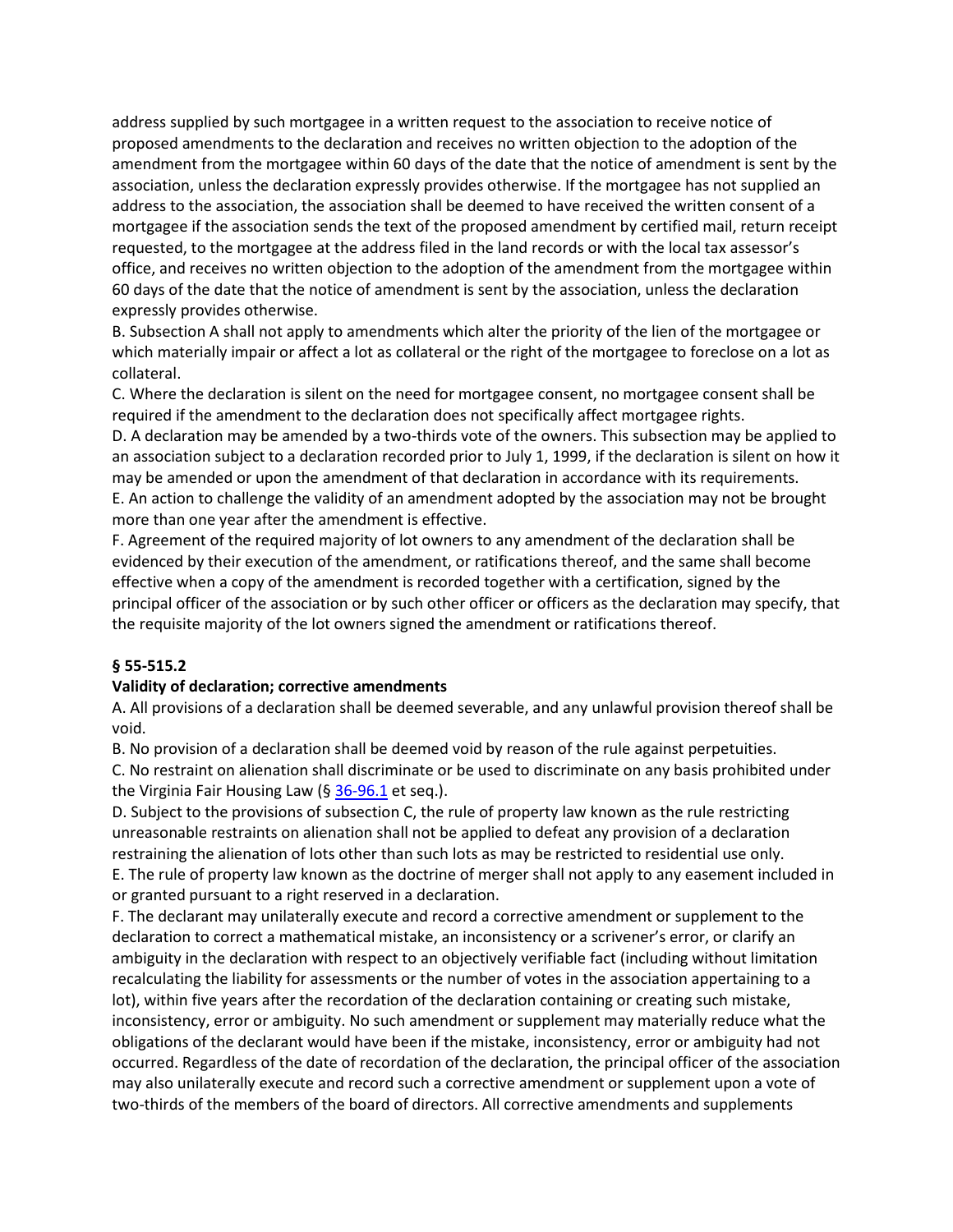address supplied by such mortgagee in a written request to the association to receive notice of proposed amendments to the declaration and receives no written objection to the adoption of the amendment from the mortgagee within 60 days of the date that the notice of amendment is sent by the association, unless the declaration expressly provides otherwise. If the mortgagee has not supplied an address to the association, the association shall be deemed to have received the written consent of a mortgagee if the association sends the text of the proposed amendment by certified mail, return receipt requested, to the mortgagee at the address filed in the land records or with the local tax assessor's office, and receives no written objection to the adoption of the amendment from the mortgagee within 60 days of the date that the notice of amendment is sent by the association, unless the declaration expressly provides otherwise.

B. Subsection A shall not apply to amendments which alter the priority of the lien of the mortgagee or which materially impair or affect a lot as collateral or the right of the mortgagee to foreclose on a lot as collateral.

C. Where the declaration is silent on the need for mortgagee consent, no mortgagee consent shall be required if the amendment to the declaration does not specifically affect mortgagee rights.

D. A declaration may be amended by a two-thirds vote of the owners. This subsection may be applied to an association subject to a declaration recorded prior to July 1, 1999, if the declaration is silent on how it may be amended or upon the amendment of that declaration in accordance with its requirements. E. An action to challenge the validity of an amendment adopted by the association may not be brought more than one year after the amendment is effective.

F. Agreement of the required majority of lot owners to any amendment of the declaration shall be evidenced by their execution of the amendment, or ratifications thereof, and the same shall become effective when a copy of the amendment is recorded together with a certification, signed by the principal officer of the association or by such other officer or officers as the declaration may specify, that the requisite majority of the lot owners signed the amendment or ratifications thereof.

# **§ 55-515.2**

# **Validity of declaration; corrective amendments**

A. All provisions of a declaration shall be deemed severable, and any unlawful provision thereof shall be void.

B. No provision of a declaration shall be deemed void by reason of the rule against perpetuities. C. No restraint on alienation shall discriminate or be used to discriminate on any basis prohibited under

the Virginia Fair Housing Law (§ [36-96.1](https://vacode.org/36-96.1/) et seq.).

D. Subject to the provisions of subsection C, the rule of property law known as the rule restricting unreasonable restraints on alienation shall not be applied to defeat any provision of a declaration restraining the alienation of lots other than such lots as may be restricted to residential use only. E. The rule of property law known as the doctrine of merger shall not apply to any easement included in

or granted pursuant to a right reserved in a declaration.

F. The declarant may unilaterally execute and record a corrective amendment or supplement to the declaration to correct a mathematical mistake, an inconsistency or a scrivener's error, or clarify an ambiguity in the declaration with respect to an objectively verifiable fact (including without limitation recalculating the liability for assessments or the number of votes in the association appertaining to a lot), within five years after the recordation of the declaration containing or creating such mistake, inconsistency, error or ambiguity. No such amendment or supplement may materially reduce what the obligations of the declarant would have been if the mistake, inconsistency, error or ambiguity had not occurred. Regardless of the date of recordation of the declaration, the principal officer of the association may also unilaterally execute and record such a corrective amendment or supplement upon a vote of two-thirds of the members of the board of directors. All corrective amendments and supplements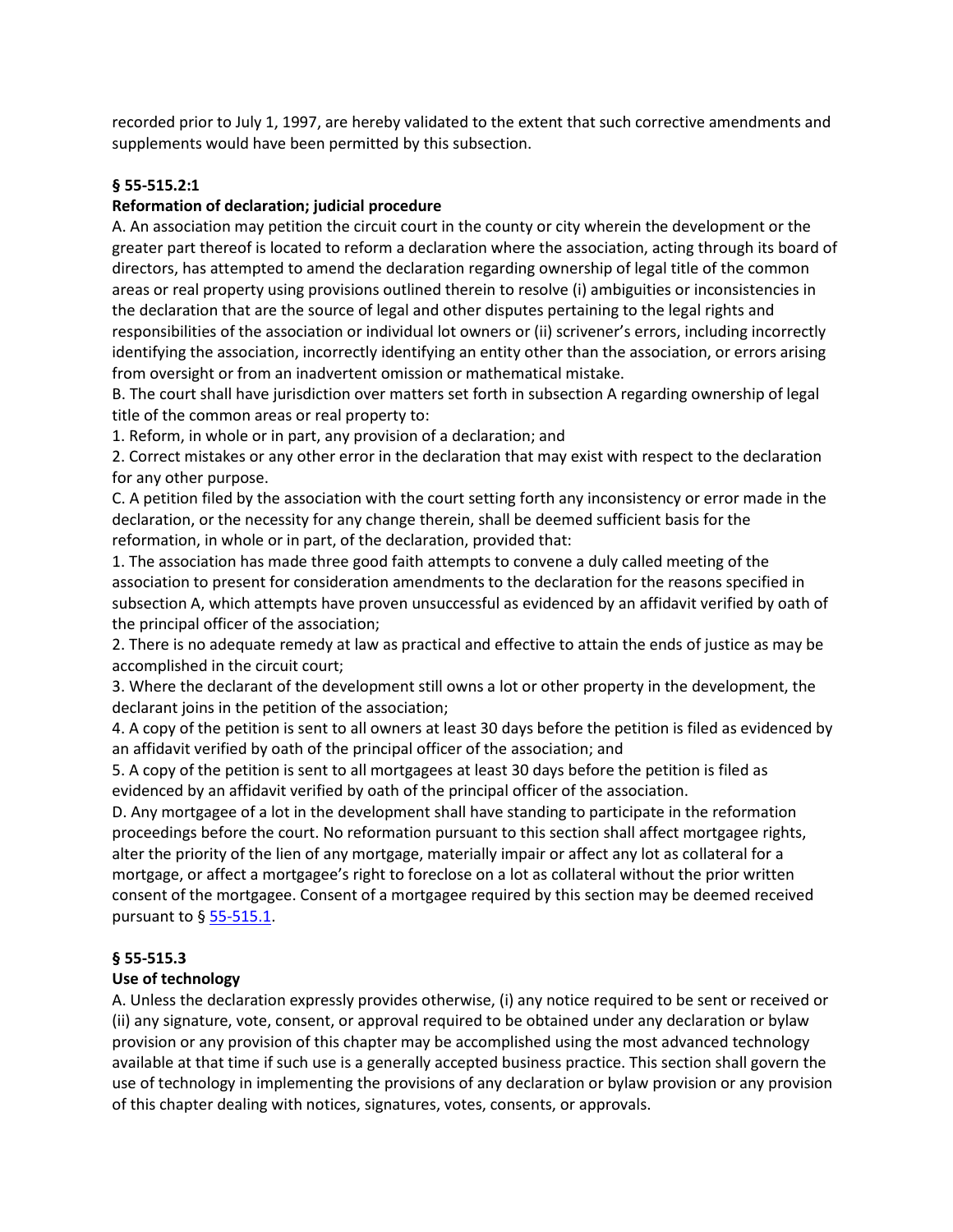recorded prior to July 1, 1997, are hereby validated to the extent that such corrective amendments and supplements would have been permitted by this subsection.

# **§ 55-515.2:1**

# **Reformation of declaration; judicial procedure**

A. An association may petition the circuit court in the county or city wherein the development or the greater part thereof is located to reform a declaration where the association, acting through its board of directors, has attempted to amend the declaration regarding ownership of legal title of the common areas or real property using provisions outlined therein to resolve (i) ambiguities or inconsistencies in the declaration that are the source of legal and other disputes pertaining to the legal rights and responsibilities of the association or individual lot owners or (ii) scrivener's errors, including incorrectly identifying the association, incorrectly identifying an entity other than the association, or errors arising from oversight or from an inadvertent omission or mathematical mistake.

B. The court shall have jurisdiction over matters set forth in subsection A regarding ownership of legal title of the common areas or real property to:

1. Reform, in whole or in part, any provision of a declaration; and

2. Correct mistakes or any other error in the declaration that may exist with respect to the declaration for any other purpose.

C. A petition filed by the association with the court setting forth any inconsistency or error made in the declaration, or the necessity for any change therein, shall be deemed sufficient basis for the reformation, in whole or in part, of the declaration, provided that:

1. The association has made three good faith attempts to convene a duly called meeting of the association to present for consideration amendments to the declaration for the reasons specified in subsection A, which attempts have proven unsuccessful as evidenced by an affidavit verified by oath of the principal officer of the association;

2. There is no adequate remedy at law as practical and effective to attain the ends of justice as may be accomplished in the circuit court;

3. Where the declarant of the development still owns a lot or other property in the development, the declarant joins in the petition of the association;

4. A copy of the petition is sent to all owners at least 30 days before the petition is filed as evidenced by an affidavit verified by oath of the principal officer of the association; and

5. A copy of the petition is sent to all mortgagees at least 30 days before the petition is filed as evidenced by an affidavit verified by oath of the principal officer of the association.

D. Any mortgagee of a lot in the development shall have standing to participate in the reformation proceedings before the court. No reformation pursuant to this section shall affect mortgagee rights, alter the priority of the lien of any mortgage, materially impair or affect any lot as collateral for a mortgage, or affect a mortgagee's right to foreclose on a lot as collateral without the prior written consent of the mortgagee. Consent of a mortgagee required by this section may be deemed received pursuant to § [55-515.1.](https://vacode.org/55-515.1/)

### **§ 55-515.3**

### **Use of technology**

A. Unless the declaration expressly provides otherwise, (i) any notice required to be sent or received or (ii) any signature, vote, consent, or approval required to be obtained under any declaration or bylaw provision or any provision of this chapter may be accomplished using the most advanced technology available at that time if such use is a generally accepted business practice. This section shall govern the use of technology in implementing the provisions of any declaration or bylaw provision or any provision of this chapter dealing with notices, signatures, votes, consents, or approvals.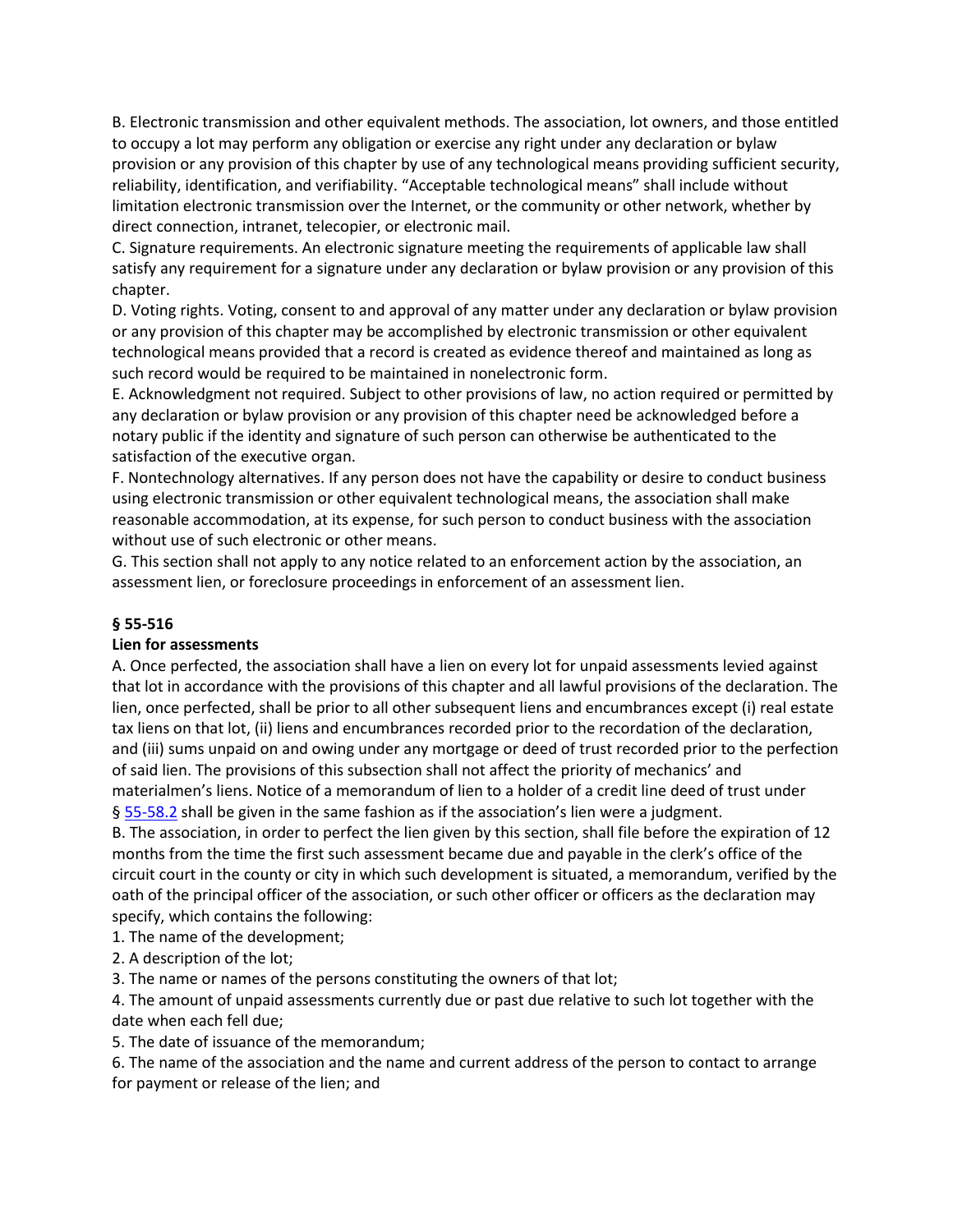B. Electronic transmission and other equivalent methods. The association, lot owners, and those entitled to occupy a lot may perform any obligation or exercise any right under any declaration or bylaw provision or any provision of this chapter by use of any technological means providing sufficient security, reliability, identification, and verifiability. "Acceptable technological means" shall include without limitation electronic transmission over the Internet, or the community or other network, whether by direct connection, intranet, telecopier, or electronic mail.

C. Signature requirements. An electronic signature meeting the requirements of applicable law shall satisfy any requirement for a signature under any declaration or bylaw provision or any provision of this chapter.

D. Voting rights. Voting, consent to and approval of any matter under any declaration or bylaw provision or any provision of this chapter may be accomplished by electronic transmission or other equivalent technological means provided that a record is created as evidence thereof and maintained as long as such record would be required to be maintained in nonelectronic form.

E. Acknowledgment not required. Subject to other provisions of law, no action required or permitted by any declaration or bylaw provision or any provision of this chapter need be acknowledged before a notary public if the identity and signature of such person can otherwise be authenticated to the satisfaction of the executive organ.

F. Nontechnology alternatives. If any person does not have the capability or desire to conduct business using electronic transmission or other equivalent technological means, the association shall make reasonable accommodation, at its expense, for such person to conduct business with the association without use of such electronic or other means.

G. This section shall not apply to any notice related to an enforcement action by the association, an assessment lien, or foreclosure proceedings in enforcement of an assessment lien.

# **§ 55-516**

# **Lien for assessments**

A. Once perfected, the association shall have a lien on every lot for unpaid assessments levied against that lot in accordance with the provisions of this chapter and all lawful provisions of the declaration. The lien, once perfected, shall be prior to all other subsequent liens and encumbrances except (i) real estate tax liens on that lot, (ii) liens and encumbrances recorded prior to the recordation of the declaration, and (iii) sums unpaid on and owing under any mortgage or deed of trust recorded prior to the perfection of said lien. The provisions of this subsection shall not affect the priority of mechanics' and materialmen's liens. Notice of a memorandum of lien to a holder of a credit line deed of trust under § [55-58.2](https://vacode.org/55-58.2/) shall be given in the same fashion as if the association's lien were a judgment.

B. The association, in order to perfect the lien given by this section, shall file before the expiration of 12 months from the time the first such assessment became due and payable in the clerk's office of the circuit court in the county or city in which such development is situated, a memorandum, verified by the oath of the principal officer of the association, or such other officer or officers as the declaration may specify, which contains the following:

1. The name of the development;

2. A description of the lot;

3. The name or names of the persons constituting the owners of that lot;

4. The amount of unpaid assessments currently due or past due relative to such lot together with the date when each fell due;

5. The date of issuance of the memorandum;

6. The name of the association and the name and current address of the person to contact to arrange for payment or release of the lien; and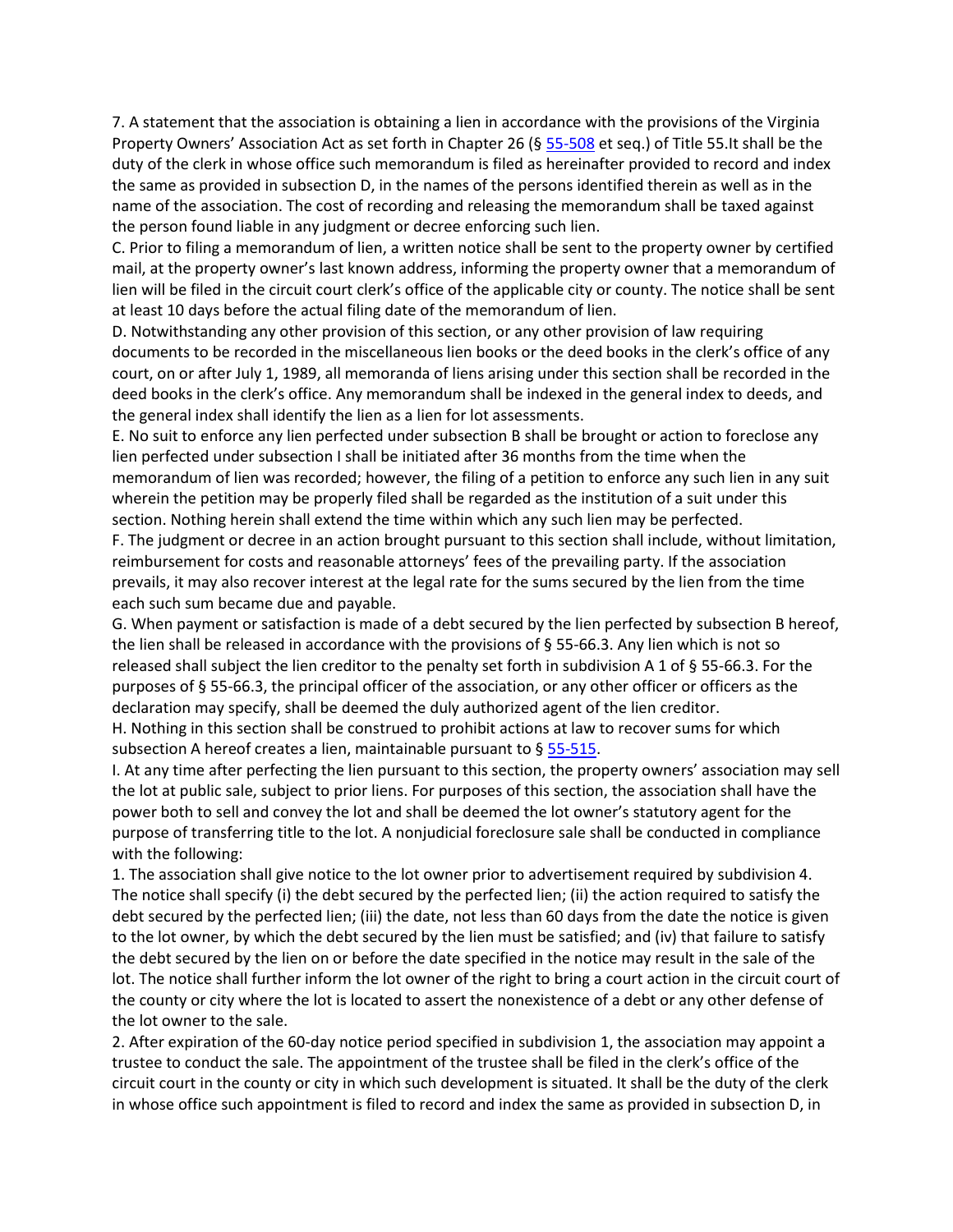7. A statement that the association is obtaining a lien in accordance with the provisions of the Virginia Property Owners' Association Act as set forth in Chapter 26 (§ [55-508](https://vacode.org/55-508/) et seq.) of Title 55.It shall be the duty of the clerk in whose office such memorandum is filed as hereinafter provided to record and index the same as provided in subsection D, in the names of the persons identified therein as well as in the name of the association. The cost of recording and releasing the memorandum shall be taxed against the person found liable in any judgment or decree enforcing such lien.

C. Prior to filing a memorandum of lien, a written notice shall be sent to the property owner by certified mail, at the property owner's last known address, informing the property owner that a memorandum of lien will be filed in the circuit court clerk's office of the applicable city or county. The notice shall be sent at least 10 days before the actual filing date of the memorandum of lien.

D. Notwithstanding any other provision of this section, or any other provision of law requiring documents to be recorded in the miscellaneous lien books or the deed books in the clerk's office of any court, on or after July 1, 1989, all memoranda of liens arising under this section shall be recorded in the deed books in the clerk's office. Any memorandum shall be indexed in the general index to deeds, and the general index shall identify the lien as a lien for lot assessments.

E. No suit to enforce any lien perfected under subsection B shall be brought or action to foreclose any lien perfected under subsection I shall be initiated after 36 months from the time when the memorandum of lien was recorded; however, the filing of a petition to enforce any such lien in any suit wherein the petition may be properly filed shall be regarded as the institution of a suit under this section. Nothing herein shall extend the time within which any such lien may be perfected.

F. The judgment or decree in an action brought pursuant to this section shall include, without limitation, reimbursement for costs and reasonable attorneys' fees of the prevailing party. If the association prevails, it may also recover interest at the legal rate for the sums secured by the lien from the time each such sum became due and payable.

G. When payment or satisfaction is made of a debt secured by the lien perfected by subsection B hereof, the lien shall be released in accordance with the provisions of § 55-66.3. Any lien which is not so released shall subject the lien creditor to the penalty set forth in subdivision A 1 of § 55-66.3. For the purposes of § 55-66.3, the principal officer of the association, or any other officer or officers as the declaration may specify, shall be deemed the duly authorized agent of the lien creditor.

H. Nothing in this section shall be construed to prohibit actions at law to recover sums for which subsection A hereof creates a lien, maintainable pursuant to  $\S$  [55-515.](https://vacode.org/55-515/)

I. At any time after perfecting the lien pursuant to this section, the property owners' association may sell the lot at public sale, subject to prior liens. For purposes of this section, the association shall have the power both to sell and convey the lot and shall be deemed the lot owner's statutory agent for the purpose of transferring title to the lot. A nonjudicial foreclosure sale shall be conducted in compliance with the following:

1. The association shall give notice to the lot owner prior to advertisement required by subdivision 4. The notice shall specify (i) the debt secured by the perfected lien; (ii) the action required to satisfy the debt secured by the perfected lien; (iii) the date, not less than 60 days from the date the notice is given to the lot owner, by which the debt secured by the lien must be satisfied; and (iv) that failure to satisfy the debt secured by the lien on or before the date specified in the notice may result in the sale of the lot. The notice shall further inform the lot owner of the right to bring a court action in the circuit court of the county or city where the lot is located to assert the nonexistence of a debt or any other defense of the lot owner to the sale.

2. After expiration of the 60-day notice period specified in subdivision 1, the association may appoint a trustee to conduct the sale. The appointment of the trustee shall be filed in the clerk's office of the circuit court in the county or city in which such development is situated. It shall be the duty of the clerk in whose office such appointment is filed to record and index the same as provided in subsection D, in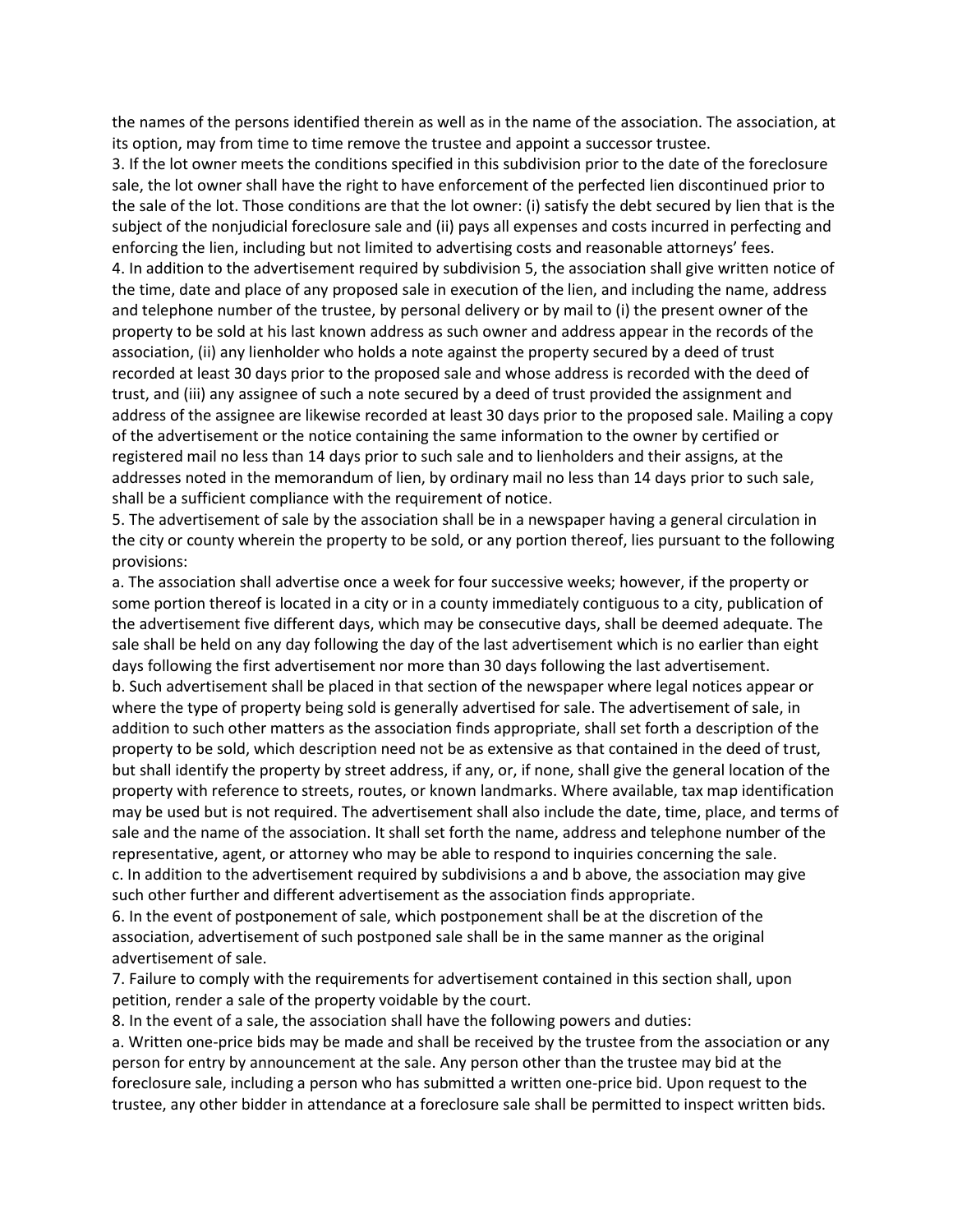the names of the persons identified therein as well as in the name of the association. The association, at its option, may from time to time remove the trustee and appoint a successor trustee.

3. If the lot owner meets the conditions specified in this subdivision prior to the date of the foreclosure sale, the lot owner shall have the right to have enforcement of the perfected lien discontinued prior to the sale of the lot. Those conditions are that the lot owner: (i) satisfy the debt secured by lien that is the subject of the nonjudicial foreclosure sale and (ii) pays all expenses and costs incurred in perfecting and enforcing the lien, including but not limited to advertising costs and reasonable attorneys' fees. 4. In addition to the advertisement required by subdivision 5, the association shall give written notice of the time, date and place of any proposed sale in execution of the lien, and including the name, address and telephone number of the trustee, by personal delivery or by mail to (i) the present owner of the property to be sold at his last known address as such owner and address appear in the records of the association, (ii) any lienholder who holds a note against the property secured by a deed of trust recorded at least 30 days prior to the proposed sale and whose address is recorded with the deed of trust, and (iii) any assignee of such a note secured by a deed of trust provided the assignment and address of the assignee are likewise recorded at least 30 days prior to the proposed sale. Mailing a copy of the advertisement or the notice containing the same information to the owner by certified or registered mail no less than 14 days prior to such sale and to lienholders and their assigns, at the addresses noted in the memorandum of lien, by ordinary mail no less than 14 days prior to such sale, shall be a sufficient compliance with the requirement of notice.

5. The advertisement of sale by the association shall be in a newspaper having a general circulation in the city or county wherein the property to be sold, or any portion thereof, lies pursuant to the following provisions:

a. The association shall advertise once a week for four successive weeks; however, if the property or some portion thereof is located in a city or in a county immediately contiguous to a city, publication of the advertisement five different days, which may be consecutive days, shall be deemed adequate. The sale shall be held on any day following the day of the last advertisement which is no earlier than eight days following the first advertisement nor more than 30 days following the last advertisement. b. Such advertisement shall be placed in that section of the newspaper where legal notices appear or where the type of property being sold is generally advertised for sale. The advertisement of sale, in addition to such other matters as the association finds appropriate, shall set forth a description of the property to be sold, which description need not be as extensive as that contained in the deed of trust, but shall identify the property by street address, if any, or, if none, shall give the general location of the property with reference to streets, routes, or known landmarks. Where available, tax map identification may be used but is not required. The advertisement shall also include the date, time, place, and terms of sale and the name of the association. It shall set forth the name, address and telephone number of the representative, agent, or attorney who may be able to respond to inquiries concerning the sale. c. In addition to the advertisement required by subdivisions a and b above, the association may give such other further and different advertisement as the association finds appropriate.

6. In the event of postponement of sale, which postponement shall be at the discretion of the association, advertisement of such postponed sale shall be in the same manner as the original advertisement of sale.

7. Failure to comply with the requirements for advertisement contained in this section shall, upon petition, render a sale of the property voidable by the court.

8. In the event of a sale, the association shall have the following powers and duties:

a. Written one-price bids may be made and shall be received by the trustee from the association or any person for entry by announcement at the sale. Any person other than the trustee may bid at the foreclosure sale, including a person who has submitted a written one-price bid. Upon request to the trustee, any other bidder in attendance at a foreclosure sale shall be permitted to inspect written bids.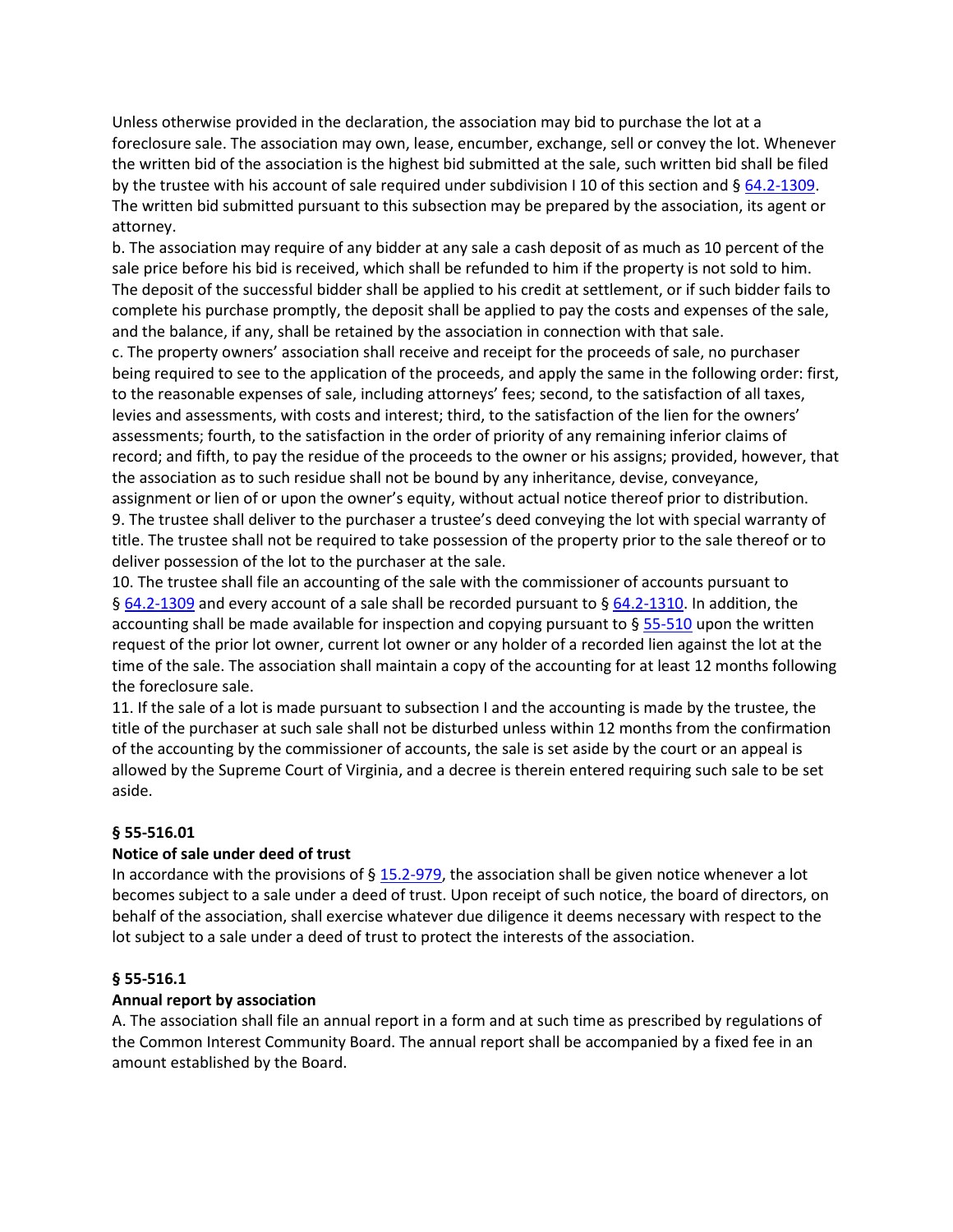Unless otherwise provided in the declaration, the association may bid to purchase the lot at a foreclosure sale. The association may own, lease, encumber, exchange, sell or convey the lot. Whenever the written bid of the association is the highest bid submitted at the sale, such written bid shall be filed by the trustee with his account of sale required under subdivision I 10 of this section and § [64.2-1309.](https://vacode.org/64.2-1309/) The written bid submitted pursuant to this subsection may be prepared by the association, its agent or attorney.

b. The association may require of any bidder at any sale a cash deposit of as much as 10 percent of the sale price before his bid is received, which shall be refunded to him if the property is not sold to him. The deposit of the successful bidder shall be applied to his credit at settlement, or if such bidder fails to complete his purchase promptly, the deposit shall be applied to pay the costs and expenses of the sale, and the balance, if any, shall be retained by the association in connection with that sale.

c. The property owners' association shall receive and receipt for the proceeds of sale, no purchaser being required to see to the application of the proceeds, and apply the same in the following order: first, to the reasonable expenses of sale, including attorneys' fees; second, to the satisfaction of all taxes, levies and assessments, with costs and interest; third, to the satisfaction of the lien for the owners' assessments; fourth, to the satisfaction in the order of priority of any remaining inferior claims of record; and fifth, to pay the residue of the proceeds to the owner or his assigns; provided, however, that the association as to such residue shall not be bound by any inheritance, devise, conveyance, assignment or lien of or upon the owner's equity, without actual notice thereof prior to distribution. 9. The trustee shall deliver to the purchaser a trustee's deed conveying the lot with special warranty of title. The trustee shall not be required to take possession of the property prior to the sale thereof or to deliver possession of the lot to the purchaser at the sale.

10. The trustee shall file an accounting of the sale with the commissioner of accounts pursuant to § [64.2-1309](https://vacode.org/64.2-1309/) and every account of a sale shall be recorded pursuant to § [64.2-1310.](https://vacode.org/64.2-1310/) In addition, the accounting shall be made available for inspection and copying pursuant to  $\S 55-510$  $\S 55-510$  upon the written request of the prior lot owner, current lot owner or any holder of a recorded lien against the lot at the time of the sale. The association shall maintain a copy of the accounting for at least 12 months following the foreclosure sale.

11. If the sale of a lot is made pursuant to subsection I and the accounting is made by the trustee, the title of the purchaser at such sale shall not be disturbed unless within 12 months from the confirmation of the accounting by the commissioner of accounts, the sale is set aside by the court or an appeal is allowed by the Supreme Court of Virginia, and a decree is therein entered requiring such sale to be set aside.

# **§ 55-516.01**

### **Notice of sale under deed of trust**

In accordance with the provisions of  $\S$  [15.2-979,](https://vacode.org/15.2-979/) the association shall be given notice whenever a lot becomes subject to a sale under a deed of trust. Upon receipt of such notice, the board of directors, on behalf of the association, shall exercise whatever due diligence it deems necessary with respect to the lot subject to a sale under a deed of trust to protect the interests of the association.

### **§ 55-516.1**

### **Annual report by association**

A. The association shall file an annual report in a form and at such time as prescribed by regulations of the Common Interest Community Board. The annual report shall be accompanied by a fixed fee in an amount established by the Board.